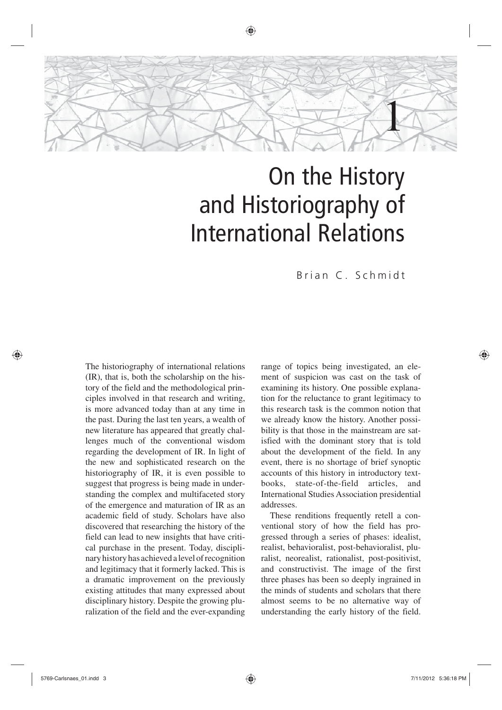

⊕

# On the History and Historiography of International Relations

Brian C. Schmidt

The historiography of international relations (IR), that is, both the scholarship on the history of the field and the methodological principles involved in that research and writing, is more advanced today than at any time in the past. During the last ten years, a wealth of new literature has appeared that greatly challenges much of the conventional wisdom regarding the development of IR. In light of the new and sophisticated research on the historiography of IR, it is even possible to suggest that progress is being made in understanding the complex and multifaceted story of the emergence and maturation of IR as an academic field of study. Scholars have also discovered that researching the history of the field can lead to new insights that have critical purchase in the present. Today, disciplinary history has achieved a level of recognition and legitimacy that it formerly lacked. This is a dramatic improvement on the previously existing attitudes that many expressed about disciplinary history. Despite the growing pluralization of the field and the ever-expanding range of topics being investigated, an element of suspicion was cast on the task of examining its history. One possible explanation for the reluctance to grant legitimacy to this research task is the common notion that we already know the history. Another possibility is that those in the mainstream are satisfied with the dominant story that is told about the development of the field. In any event, there is no shortage of brief synoptic accounts of this history in introductory textbooks, state-of-the-field articles, and International Studies Association presidential addresses.

These renditions frequently retell a conventional story of how the field has progressed through a series of phases: idealist, realist, behavioralist, post-behavioralist, pluralist, neorealist, rationalist, post-positivist, and constructivist. The image of the first three phases has been so deeply ingrained in the minds of students and scholars that there almost seems to be no alternative way of understanding the early history of the field.

⊕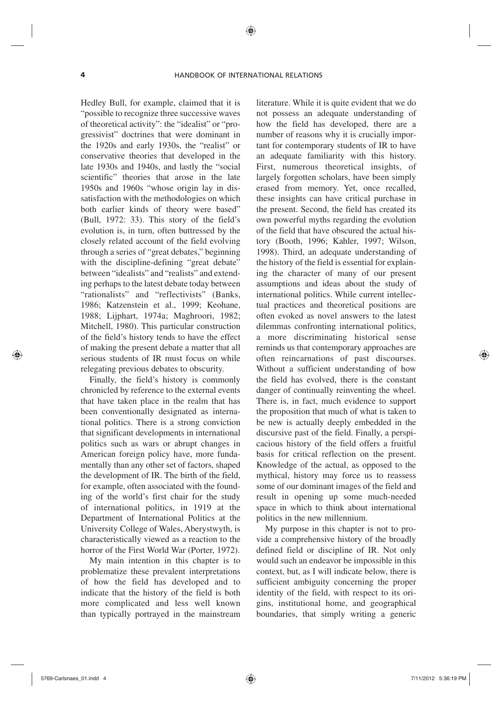Hedley Bull, for example, claimed that it is "possible to recognize three successive waves of theoretical activity": the "idealist" or "progressivist" doctrines that were dominant in the 1920s and early 1930s, the "realist" or conservative theories that developed in the late 1930s and 1940s, and lastly the "social scientific" theories that arose in the late 1950s and 1960s "whose origin lay in dissatisfaction with the methodologies on which both earlier kinds of theory were based" (Bull, 1972: 33). This story of the field's evolution is, in turn, often buttressed by the closely related account of the field evolving through a series of "great debates," beginning with the discipline-defining "great debate" between "idealists" and "realists" and extending perhaps to the latest debate today between "rationalists" and "reflectivists" (Banks, 1986; Katzenstein et al., 1999; Keohane, 1988; Lijphart, 1974a; Maghroori, 1982; Mitchell, 1980). This particular construction of the field's history tends to have the effect of making the present debate a matter that all serious students of IR must focus on while relegating previous debates to obscurity.

Finally, the field's history is commonly chronicled by reference to the external events that have taken place in the realm that has been conventionally designated as international politics. There is a strong conviction that significant developments in international politics such as wars or abrupt changes in American foreign policy have, more fundamentally than any other set of factors, shaped the development of IR. The birth of the field, for example, often associated with the founding of the world's first chair for the study of international politics, in 1919 at the Department of International Politics at the University College of Wales, Aberystwyth, is characteristically viewed as a reaction to the horror of the First World War (Porter, 1972).

My main intention in this chapter is to problematize these prevalent interpretations of how the field has developed and to indicate that the history of the field is both more complicated and less well known than typically portrayed in the mainstream

literature. While it is quite evident that we do not possess an adequate understanding of how the field has developed, there are a number of reasons why it is crucially important for contemporary students of IR to have an adequate familiarity with this history. First, numerous theoretical insights, of largely forgotten scholars, have been simply erased from memory. Yet, once recalled, these insights can have critical purchase in the present. Second, the field has created its own powerful myths regarding the evolution of the field that have obscured the actual history (Booth, 1996; Kahler, 1997; Wilson, 1998). Third, an adequate understanding of the history of the field is essential for explaining the character of many of our present assumptions and ideas about the study of international politics. While current intellectual practices and theoretical positions are often evoked as novel answers to the latest dilemmas confronting international politics, a more discriminating historical sense reminds us that contemporary approaches are often reincarnations of past discourses. Without a sufficient understanding of how the field has evolved, there is the constant danger of continually reinventing the wheel. There is, in fact, much evidence to support the proposition that much of what is taken to be new is actually deeply embedded in the discursive past of the field. Finally, a perspicacious history of the field offers a fruitful basis for critical reflection on the present. Knowledge of the actual, as opposed to the mythical, history may force us to reassess some of our dominant images of the field and result in opening up some much-needed space in which to think about international politics in the new millennium.

My purpose in this chapter is not to provide a comprehensive history of the broadly defined field or discipline of IR. Not only would such an endeavor be impossible in this context, but, as I will indicate below, there is sufficient ambiguity concerning the proper identity of the field, with respect to its origins, institutional home, and geographical boundaries, that simply writing a generic

⊕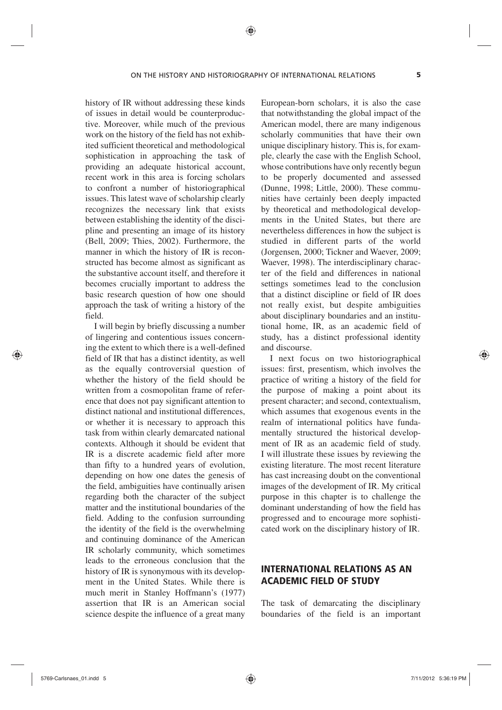history of IR without addressing these kinds of issues in detail would be counterproductive. Moreover, while much of the previous work on the history of the field has not exhibited sufficient theoretical and methodological sophistication in approaching the task of providing an adequate historical account, recent work in this area is forcing scholars to confront a number of historiographical issues. This latest wave of scholarship clearly recognizes the necessary link that exists between establishing the identity of the discipline and presenting an image of its history (Bell, 2009; Thies, 2002). Furthermore, the manner in which the history of IR is reconstructed has become almost as significant as the substantive account itself, and therefore it becomes crucially important to address the basic research question of how one should approach the task of writing a history of the field.

I will begin by briefly discussing a number of lingering and contentious issues concerning the extent to which there is a well-defined field of IR that has a distinct identity, as well as the equally controversial question of whether the history of the field should be written from a cosmopolitan frame of reference that does not pay significant attention to distinct national and institutional differences, or whether it is necessary to approach this task from within clearly demarcated national contexts. Although it should be evident that IR is a discrete academic field after more than fifty to a hundred years of evolution, depending on how one dates the genesis of the field, ambiguities have continually arisen regarding both the character of the subject matter and the institutional boundaries of the field. Adding to the confusion surrounding the identity of the field is the overwhelming and continuing dominance of the American IR scholarly community, which sometimes leads to the erroneous conclusion that the history of IR is synonymous with its development in the United States. While there is much merit in Stanley Hoffmann's (1977) assertion that IR is an American social science despite the influence of a great many European-born scholars, it is also the case that notwithstanding the global impact of the American model, there are many indigenous scholarly communities that have their own unique disciplinary history. This is, for example, clearly the case with the English School, whose contributions have only recently begun to be properly documented and assessed (Dunne, 1998; Little, 2000). These communities have certainly been deeply impacted by theoretical and methodological developments in the United States, but there are nevertheless differences in how the subject is studied in different parts of the world (Jorgensen, 2000; Tickner and Waever, 2009; Waever, 1998). The interdisciplinary character of the field and differences in national settings sometimes lead to the conclusion that a distinct discipline or field of IR does not really exist, but despite ambiguities about disciplinary boundaries and an institutional home, IR, as an academic field of study, has a distinct professional identity and discourse.

I next focus on two historiographical issues: first, presentism, which involves the practice of writing a history of the field for the purpose of making a point about its present character; and second, contextualism, which assumes that exogenous events in the realm of international politics have fundamentally structured the historical development of IR as an academic field of study. I will illustrate these issues by reviewing the existing literature. The most recent literature has cast increasing doubt on the conventional images of the development of IR. My critical purpose in this chapter is to challenge the dominant understanding of how the field has progressed and to encourage more sophisticated work on the disciplinary history of IR.

## INTERNATIONAL RELATIONS AS AN ACADEMIC FIELD OF STUDY

The task of demarcating the disciplinary boundaries of the field is an important

⊕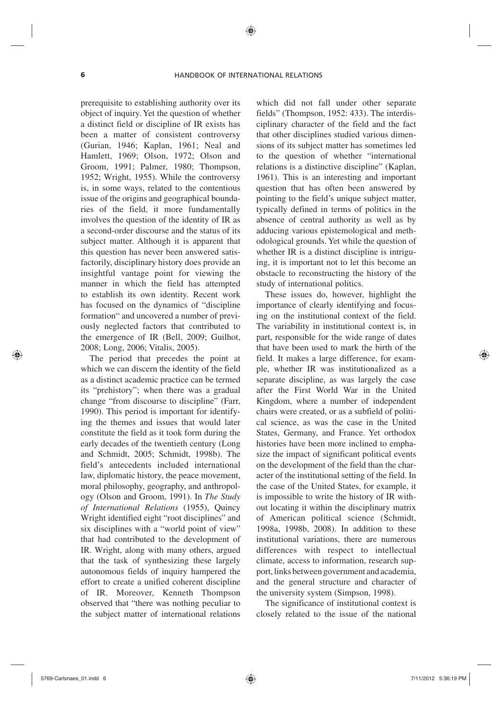prerequisite to establishing authority over its object of inquiry. Yet the question of whether a distinct field or discipline of IR exists has been a matter of consistent controversy (Gurian, 1946; Kaplan, 1961; Neal and Hamlett, 1969; Olson, 1972; Olson and Groom, 1991; Palmer, 1980; Thompson, 1952; Wright, 1955). While the controversy is, in some ways, related to the contentious issue of the origins and geographical boundaries of the field, it more fundamentally involves the question of the identity of IR as a second-order discourse and the status of its subject matter. Although it is apparent that this question has never been answered satisfactorily, disciplinary history does provide an insightful vantage point for viewing the manner in which the field has attempted to establish its own identity. Recent work has focused on the dynamics of "discipline formation" and uncovered a number of previously neglected factors that contributed to the emergence of IR (Bell, 2009; Guilhot, 2008; Long, 2006; Vitalis, 2005).

The period that precedes the point at which we can discern the identity of the field as a distinct academic practice can be termed its "prehistory"; when there was a gradual change "from discourse to discipline" (Farr, 1990). This period is important for identifying the themes and issues that would later constitute the field as it took form during the early decades of the twentieth century (Long and Schmidt, 2005; Schmidt, 1998b). The field's antecedents included international law, diplomatic history, the peace movement, moral philosophy, geography, and anthropology (Olson and Groom, 1991). In *The Study of International Relations* (1955), Quincy Wright identified eight "root disciplines" and six disciplines with a "world point of view" that had contributed to the development of IR. Wright, along with many others, argued that the task of synthesizing these largely autonomous fields of inquiry hampered the effort to create a unified coherent discipline of IR. Moreover, Kenneth Thompson observed that "there was nothing peculiar to the subject matter of international relations

which did not fall under other separate fields" (Thompson, 1952: 433). The interdisciplinary character of the field and the fact that other disciplines studied various dimensions of its subject matter has sometimes led to the question of whether "international relations is a distinctive discipline" (Kaplan, 1961). This is an interesting and important question that has often been answered by pointing to the field's unique subject matter, typically defined in terms of politics in the absence of central authority as well as by adducing various epistemological and methodological grounds. Yet while the question of whether IR is a distinct discipline is intriguing, it is important not to let this become an obstacle to reconstructing the history of the study of international politics.

These issues do, however, highlight the importance of clearly identifying and focusing on the institutional context of the field. The variability in institutional context is, in part, responsible for the wide range of dates that have been used to mark the birth of the field. It makes a large difference, for example, whether IR was institutionalized as a separate discipline, as was largely the case after the First World War in the United Kingdom, where a number of independent chairs were created, or as a subfield of political science, as was the case in the United States, Germany, and France. Yet orthodox histories have been more inclined to emphasize the impact of significant political events on the development of the field than the character of the institutional setting of the field. In the case of the United States, for example, it is impossible to write the history of IR without locating it within the disciplinary matrix of American political science (Schmidt, 1998a, 1998b, 2008). In addition to these institutional variations, there are numerous differences with respect to intellectual climate, access to information, research support, links between government and academia, and the general structure and character of the university system (Simpson, 1998).

The significance of institutional context is closely related to the issue of the national

⊕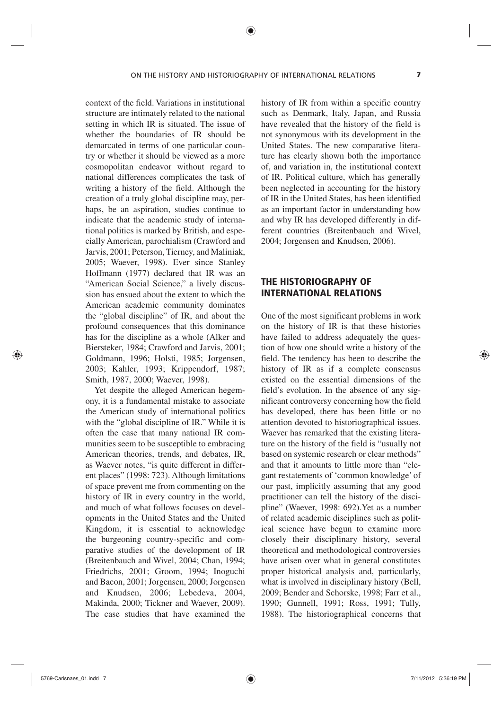context of the field. Variations in institutional structure are intimately related to the national setting in which IR is situated. The issue of whether the boundaries of IR should be demarcated in terms of one particular country or whether it should be viewed as a more cosmopolitan endeavor without regard to national differences complicates the task of writing a history of the field. Although the creation of a truly global discipline may, perhaps, be an aspiration, studies continue to indicate that the academic study of international politics is marked by British, and especially American, parochialism (Crawford and Jarvis, 2001; Peterson, Tierney, and Maliniak, 2005; Waever, 1998). Ever since Stanley Hoffmann (1977) declared that IR was an "American Social Science," a lively discussion has ensued about the extent to which the American academic community dominates the "global discipline" of IR, and about the profound consequences that this dominance has for the discipline as a whole (Alker and Biersteker, 1984; Crawford and Jarvis, 2001; Goldmann, 1996; Holsti, 1985; Jorgensen, 2003; Kahler, 1993; Krippendorf, 1987; Smith, 1987, 2000; Waever, 1998).

Yet despite the alleged American hegemony, it is a fundamental mistake to associate the American study of international politics with the "global discipline of IR." While it is often the case that many national IR communities seem to be susceptible to embracing American theories, trends, and debates, IR, as Waever notes, "is quite different in different places" (1998: 723). Although limitations of space prevent me from commenting on the history of IR in every country in the world, and much of what follows focuses on developments in the United States and the United Kingdom, it is essential to acknowledge the burgeoning country-specific and comparative studies of the development of IR (Breitenbauch and Wivel, 2004; Chan, 1994; Friedrichs, 2001; Groom, 1994; Inoguchi and Bacon, 2001; Jorgensen, 2000; Jorgensen and Knudsen, 2006; Lebedeva, 2004, Makinda, 2000; Tickner and Waever, 2009). The case studies that have examined the history of IR from within a specific country such as Denmark, Italy, Japan, and Russia have revealed that the history of the field is not synonymous with its development in the United States. The new comparative literature has clearly shown both the importance of, and variation in, the institutional context of IR. Political culture, which has generally been neglected in accounting for the history of IR in the United States, has been identified as an important factor in understanding how and why IR has developed differently in different countries (Breitenbauch and Wivel, 2004; Jorgensen and Knudsen, 2006).

# THE HISTORIOGRAPHY OF INTERNATIONAL RELATIONS

One of the most significant problems in work on the history of IR is that these histories have failed to address adequately the question of how one should write a history of the field. The tendency has been to describe the history of IR as if a complete consensus existed on the essential dimensions of the field's evolution. In the absence of any significant controversy concerning how the field has developed, there has been little or no attention devoted to historiographical issues. Waever has remarked that the existing literature on the history of the field is "usually not based on systemic research or clear methods" and that it amounts to little more than "elegant restatements of 'common knowledge' of our past, implicitly assuming that any good practitioner can tell the history of the discipline" (Waever, 1998: 692).Yet as a number of related academic disciplines such as political science have begun to examine more closely their disciplinary history, several theoretical and methodological controversies have arisen over what in general constitutes proper historical analysis and, particularly, what is involved in disciplinary history (Bell, 2009; Bender and Schorske, 1998; Farr et al., 1990; Gunnell, 1991; Ross, 1991; Tully, 1988). The historiographical concerns that

⊕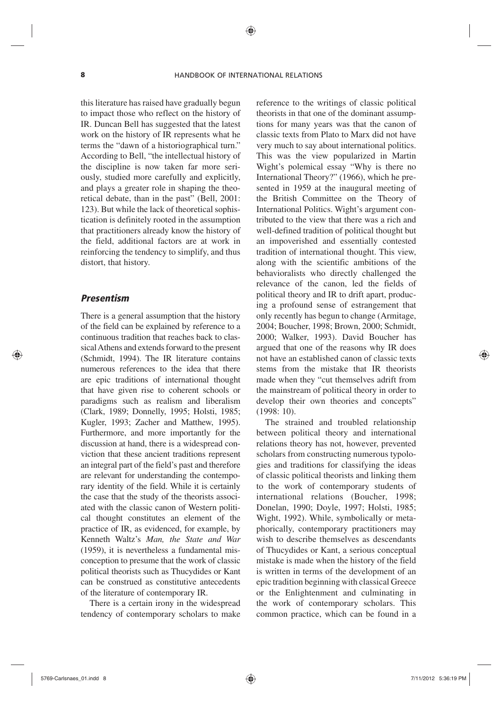this literature has raised have gradually begun to impact those who reflect on the history of IR. Duncan Bell has suggested that the latest work on the history of IR represents what he terms the "dawn of a historiographical turn." According to Bell, "the intellectual history of the discipline is now taken far more seriously, studied more carefully and explicitly, and plays a greater role in shaping the theoretical debate, than in the past" (Bell, 2001: 123). But while the lack of theoretical sophistication is definitely rooted in the assumption that practitioners already know the history of the field, additional factors are at work in reinforcing the tendency to simplify, and thus distort, that history.

#### *Presentism*

♠

There is a general assumption that the history of the field can be explained by reference to a continuous tradition that reaches back to classical Athens and extends forward to the present (Schmidt, 1994). The IR literature contains numerous references to the idea that there are epic traditions of international thought that have given rise to coherent schools or paradigms such as realism and liberalism (Clark, 1989; Donnelly, 1995; Holsti, 1985; Kugler, 1993; Zacher and Matthew, 1995). Furthermore, and more importantly for the discussion at hand, there is a widespread conviction that these ancient traditions represent an integral part of the field's past and therefore are relevant for understanding the contemporary identity of the field. While it is certainly the case that the study of the theorists associated with the classic canon of Western political thought constitutes an element of the practice of IR, as evidenced, for example, by Kenneth Waltz's *Man, the State and War* (1959), it is nevertheless a fundamental misconception to presume that the work of classic political theorists such as Thucydides or Kant can be construed as constitutive antecedents of the literature of contemporary IR.

There is a certain irony in the widespread tendency of contemporary scholars to make

reference to the writings of classic political theorists in that one of the dominant assumptions for many years was that the canon of classic texts from Plato to Marx did not have very much to say about international politics. This was the view popularized in Martin Wight's polemical essay "Why is there no International Theory?" (1966), which he presented in 1959 at the inaugural meeting of the British Committee on the Theory of International Politics. Wight's argument contributed to the view that there was a rich and well-defined tradition of political thought but an impoverished and essentially contested tradition of international thought. This view, along with the scientific ambitions of the behavioralists who directly challenged the relevance of the canon, led the fields of political theory and IR to drift apart, producing a profound sense of estrangement that only recently has begun to change (Armitage, 2004; Boucher, 1998; Brown, 2000; Schmidt, 2000; Walker, 1993). David Boucher has argued that one of the reasons why IR does not have an established canon of classic texts stems from the mistake that IR theorists made when they "cut themselves adrift from the mainstream of political theory in order to develop their own theories and concepts" (1998: 10).

The strained and troubled relationship between political theory and international relations theory has not, however, prevented scholars from constructing numerous typologies and traditions for classifying the ideas of classic political theorists and linking them to the work of contemporary students of international relations (Boucher, 1998; Donelan, 1990; Doyle, 1997; Holsti, 1985; Wight, 1992). While, symbolically or metaphorically, contemporary practitioners may wish to describe themselves as descendants of Thucydides or Kant, a serious conceptual mistake is made when the history of the field is written in terms of the development of an epic tradition beginning with classical Greece or the Enlightenment and culminating in the work of contemporary scholars. This common practice, which can be found in a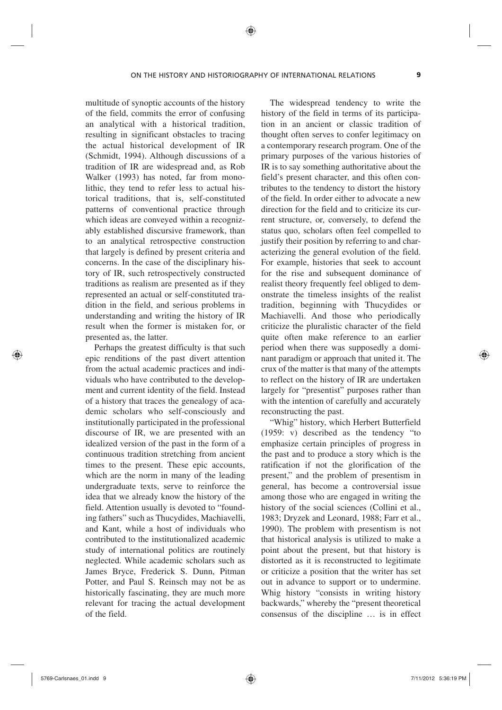multitude of synoptic accounts of the history of the field, commits the error of confusing an analytical with a historical tradition, resulting in significant obstacles to tracing the actual historical development of IR (Schmidt, 1994). Although discussions of a tradition of IR are widespread and, as Rob Walker (1993) has noted, far from monolithic, they tend to refer less to actual historical traditions, that is, self-constituted patterns of conventional practice through which ideas are conveyed within a recognizably established discursive framework, than to an analytical retrospective construction that largely is defined by present criteria and concerns. In the case of the disciplinary history of IR, such retrospectively constructed traditions as realism are presented as if they represented an actual or self-constituted tradition in the field, and serious problems in understanding and writing the history of IR result when the former is mistaken for, or presented as, the latter.

Perhaps the greatest difficulty is that such epic renditions of the past divert attention from the actual academic practices and individuals who have contributed to the development and current identity of the field. Instead of a history that traces the genealogy of academic scholars who self-consciously and institutionally participated in the professional discourse of IR, we are presented with an idealized version of the past in the form of a continuous tradition stretching from ancient times to the present. These epic accounts, which are the norm in many of the leading undergraduate texts, serve to reinforce the idea that we already know the history of the field. Attention usually is devoted to "founding fathers" such as Thucydides, Machiavelli, and Kant, while a host of individuals who contributed to the institutionalized academic study of international politics are routinely neglected. While academic scholars such as James Bryce, Frederick S. Dunn, Pitman Potter, and Paul S. Reinsch may not be as historically fascinating, they are much more relevant for tracing the actual development of the field.

The widespread tendency to write the history of the field in terms of its participation in an ancient or classic tradition of thought often serves to confer legitimacy on a contemporary research program. One of the primary purposes of the various histories of IR is to say something authoritative about the field's present character, and this often contributes to the tendency to distort the history of the field. In order either to advocate a new direction for the field and to criticize its current structure, or, conversely, to defend the status quo, scholars often feel compelled to justify their position by referring to and characterizing the general evolution of the field. For example, histories that seek to account for the rise and subsequent dominance of realist theory frequently feel obliged to demonstrate the timeless insights of the realist tradition, beginning with Thucydides or Machiavelli. And those who periodically criticize the pluralistic character of the field quite often make reference to an earlier period when there was supposedly a dominant paradigm or approach that united it. The crux of the matter is that many of the attempts to reflect on the history of IR are undertaken largely for "presentist" purposes rather than with the intention of carefully and accurately reconstructing the past.

"Whig" history, which Herbert Butterfield (1959: v) described as the tendency "to emphasize certain principles of progress in the past and to produce a story which is the ratification if not the glorification of the present," and the problem of presentism in general, has become a controversial issue among those who are engaged in writing the history of the social sciences (Collini et al., 1983; Dryzek and Leonard, 1988; Farr et al., 1990). The problem with presentism is not that historical analysis is utilized to make a point about the present, but that history is distorted as it is reconstructed to legitimate or criticize a position that the writer has set out in advance to support or to undermine. Whig history "consists in writing history backwards," whereby the "present theoretical consensus of the discipline … is in effect

⊕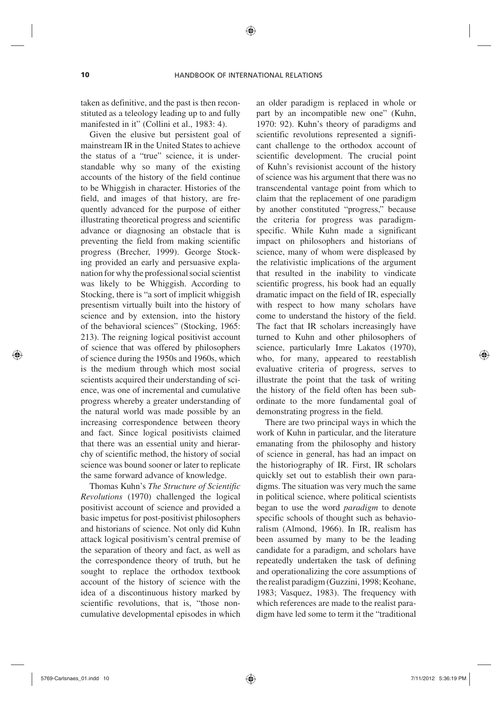taken as definitive, and the past is then reconstituted as a teleology leading up to and fully manifested in it" (Collini et al., 1983: 4).

Given the elusive but persistent goal of mainstream IR in the United States to achieve the status of a "true" science, it is understandable why so many of the existing accounts of the history of the field continue to be Whiggish in character. Histories of the field, and images of that history, are frequently advanced for the purpose of either illustrating theoretical progress and scientific advance or diagnosing an obstacle that is preventing the field from making scientific progress (Brecher, 1999). George Stock ing provided an early and persuasive explanation for why the professional social scientist was likely to be Whiggish. According to Stocking, there is "a sort of implicit whiggish presentism virtually built into the history of science and by extension, into the history of the behavioral sciences" (Stocking, 1965: 213). The reigning logical positivist account of science that was offered by philosophers of science during the 1950s and 1960s, which is the medium through which most social scientists acquired their understanding of science, was one of incremental and cumulative progress whereby a greater understanding of the natural world was made possible by an increasing correspondence between theory and fact. Since logical positivists claimed that there was an essential unity and hierarchy of scientific method, the history of social science was bound sooner or later to replicate the same forward advance of knowledge.

Thomas Kuhn's *The Structure of Scientific Revolutions* (1970) challenged the logical positivist account of science and provided a basic impetus for post-positivist philosophers and historians of science. Not only did Kuhn attack logical positivism's central premise of the separation of theory and fact, as well as the correspondence theory of truth, but he sought to replace the orthodox textbook account of the history of science with the idea of a discontinuous history marked by scientific revolutions, that is, "those noncumulative developmental episodes in which

an older paradigm is replaced in whole or part by an incompatible new one" (Kuhn, 1970: 92). Kuhn's theory of paradigms and scientific revolutions represented a significant challenge to the orthodox account of scientific development. The crucial point of Kuhn's revisionist account of the history of science was his argument that there was no transcendental vantage point from which to claim that the replacement of one paradigm by another constituted "progress," because the criteria for progress was paradigmspecific. While Kuhn made a significant impact on philosophers and historians of science, many of whom were displeased by the relativistic implications of the argument that resulted in the inability to vindicate scientific progress, his book had an equally dramatic impact on the field of IR, especially with respect to how many scholars have come to understand the history of the field. The fact that IR scholars increasingly have turned to Kuhn and other philosophers of science, particularly Imre Lakatos (1970), who, for many, appeared to reestablish evaluative criteria of progress, serves to illustrate the point that the task of writing the history of the field often has been subordinate to the more fundamental goal of demonstrating progress in the field.

There are two principal ways in which the work of Kuhn in particular, and the literature emanating from the philosophy and history of science in general, has had an impact on the historiography of IR. First, IR scholars quickly set out to establish their own paradigms. The situation was very much the same in political science, where political scientists began to use the word *paradigm* to denote specific schools of thought such as behavioralism (Almond, 1966). In IR, realism has been assumed by many to be the leading candidate for a paradigm, and scholars have repeatedly undertaken the task of defining and operationalizing the core assumptions of the realist paradigm (Guzzini, 1998; Keohane, 1983; Vasquez, 1983). The frequency with which references are made to the realist paradigm have led some to term it the "traditional

⊕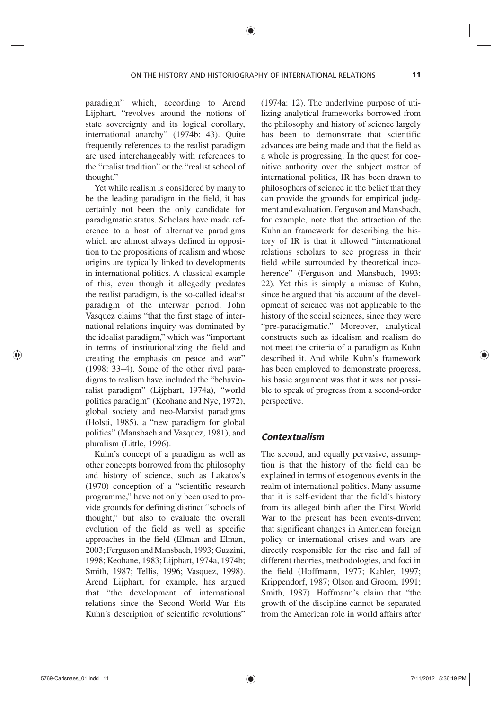paradigm" which, according to Arend Lijphart, "revolves around the notions of state sovereignty and its logical corollary, international anarchy" (1974b: 43). Quite frequently references to the realist paradigm are used interchangeably with references to the "realist tradition" or the "realist school of thought."

Yet while realism is considered by many to be the leading paradigm in the field, it has certainly not been the only candidate for paradigmatic status. Scholars have made reference to a host of alternative paradigms which are almost always defined in opposition to the propositions of realism and whose origins are typically linked to developments in international politics. A classical example of this, even though it allegedly predates the realist paradigm, is the so-called idealist paradigm of the interwar period. John Vasquez claims "that the first stage of international relations inquiry was dominated by the idealist paradigm," which was "important in terms of institutionalizing the field and creating the emphasis on peace and war" (1998: 33–4). Some of the other rival paradigms to realism have included the "behavioralist paradigm" (Lijphart, 1974a), "world politics paradigm" (Keohane and Nye, 1972), global society and neo-Marxist paradigms (Holsti, 1985), a "new paradigm for global politics" (Mansbach and Vasquez, 1981), and pluralism (Little, 1996).

Kuhn's concept of a paradigm as well as other concepts borrowed from the philosophy and history of science, such as Lakatos's (1970) conception of a "scientific research programme," have not only been used to provide grounds for defining distinct "schools of thought," but also to evaluate the overall evolution of the field as well as specific approaches in the field (Elman and Elman, 2003; Ferguson and Mansbach, 1993; Guzzini, 1998; Keohane, 1983; Lijphart, 1974a, 1974b; Smith, 1987; Tellis, 1996; Vasquez, 1998). Arend Lijphart, for example, has argued that "the development of international relations since the Second World War fits Kuhn's description of scientific revolutions"

(1974a: 12). The underlying purpose of utilizing analytical frameworks borrowed from the philosophy and history of science largely has been to demonstrate that scientific advances are being made and that the field as a whole is progressing. In the quest for cognitive authority over the subject matter of international politics, IR has been drawn to philosophers of science in the belief that they can provide the grounds for empirical judgment and evaluation. Ferguson and Mansbach, for example, note that the attraction of the Kuhnian framework for describing the history of IR is that it allowed "international relations scholars to see progress in their field while surrounded by theoretical incoherence" (Ferguson and Mansbach, 1993: 22). Yet this is simply a misuse of Kuhn, since he argued that his account of the development of science was not applicable to the history of the social sciences, since they were "pre-paradigmatic." Moreover, analytical constructs such as idealism and realism do not meet the criteria of a paradigm as Kuhn described it. And while Kuhn's framework has been employed to demonstrate progress, his basic argument was that it was not possible to speak of progress from a second-order perspective.

#### *Contextualism*

The second, and equally pervasive, assumption is that the history of the field can be explained in terms of exogenous events in the realm of international politics. Many assume that it is self-evident that the field's history from its alleged birth after the First World War to the present has been events-driven; that significant changes in American foreign policy or international crises and wars are directly responsible for the rise and fall of different theories, methodologies, and foci in the field (Hoffmann, 1977; Kahler, 1997; Krippendorf, 1987; Olson and Groom, 1991; Smith, 1987). Hoffmann's claim that "the growth of the discipline cannot be separated from the American role in world affairs after

⊕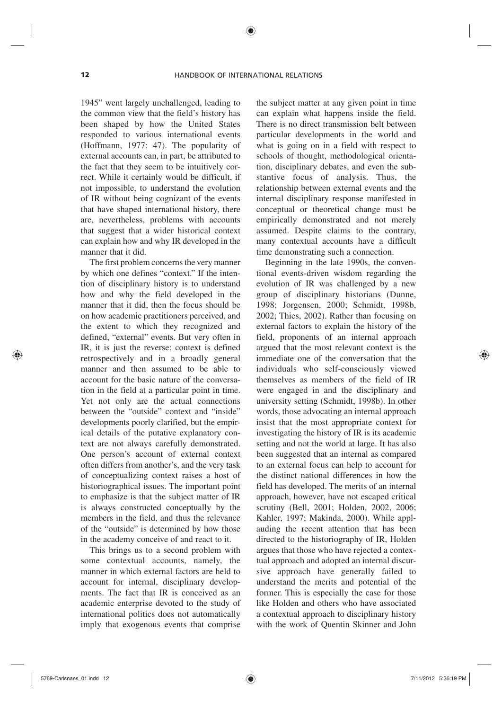1945" went largely unchallenged, leading to the common view that the field's history has been shaped by how the United States responded to various international events (Hoffmann, 1977: 47). The popularity of external accounts can, in part, be attributed to the fact that they seem to be intuitively correct. While it certainly would be difficult, if not impossible, to understand the evolution of IR without being cognizant of the events that have shaped international history, there are, nevertheless, problems with accounts that suggest that a wider historical context can explain how and why IR developed in the manner that it did.

The first problem concerns the very manner by which one defines "context." If the intention of disciplinary history is to understand how and why the field developed in the manner that it did, then the focus should be on how academic practitioners perceived, and the extent to which they recognized and defined, "external" events. But very often in IR, it is just the reverse: context is defined retrospectively and in a broadly general manner and then assumed to be able to account for the basic nature of the conversation in the field at a particular point in time. Yet not only are the actual connections between the "outside" context and "inside" developments poorly clarified, but the empirical details of the putative explanatory context are not always carefully demonstrated. One person's account of external context often differs from another's, and the very task of conceptualizing context raises a host of historiographical issues. The important point to emphasize is that the subject matter of IR is always constructed conceptually by the members in the field, and thus the relevance of the "outside" is determined by how those in the academy conceive of and react to it.

This brings us to a second problem with some contextual accounts, namely, the manner in which external factors are held to account for internal, disciplinary developments. The fact that IR is conceived as an academic enterprise devoted to the study of international politics does not automatically imply that exogenous events that comprise

the subject matter at any given point in time can explain what happens inside the field. There is no direct transmission belt between particular developments in the world and what is going on in a field with respect to schools of thought, methodological orientation, disciplinary debates, and even the substantive focus of analysis. Thus, the relationship between external events and the internal disciplinary response manifested in conceptual or theoretical change must be empirically demonstrated and not merely assumed. Despite claims to the contrary, many contextual accounts have a difficult time demonstrating such a connection.

Beginning in the late 1990s, the conventional events-driven wisdom regarding the evolution of IR was challenged by a new group of disciplinary historians (Dunne, 1998; Jorgensen, 2000; Schmidt, 1998b, 2002; Thies, 2002). Rather than focusing on external factors to explain the history of the field, proponents of an internal approach argued that the most relevant context is the immediate one of the conversation that the individuals who self-consciously viewed themselves as members of the field of IR were engaged in and the disciplinary and university setting (Schmidt, 1998b). In other words, those advocating an internal approach insist that the most appropriate context for investigating the history of IR is its academic setting and not the world at large. It has also been suggested that an internal as compared to an external focus can help to account for the distinct national differences in how the field has developed. The merits of an internal approach, however, have not escaped critical scrutiny (Bell, 2001; Holden, 2002, 2006; Kahler, 1997; Makinda, 2000). While applauding the recent attention that has been directed to the historiography of IR, Holden argues that those who have rejected a contextual approach and adopted an internal discursive approach have generally failed to understand the merits and potential of the former. This is especially the case for those like Holden and others who have associated a contextual approach to disciplinary history with the work of Quentin Skinner and John

⊕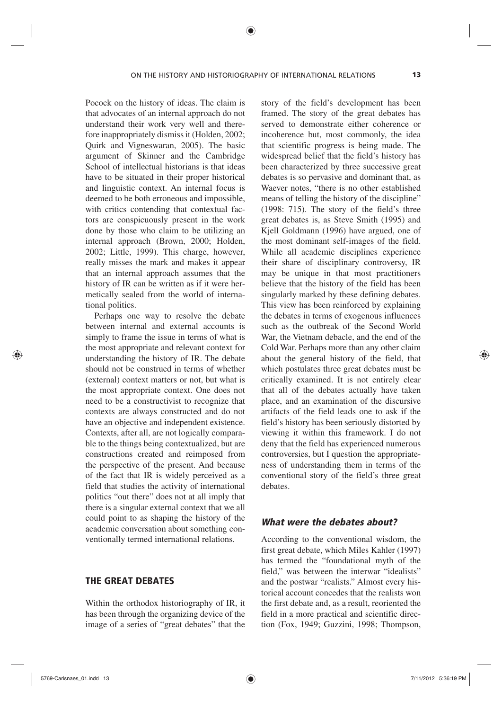Pocock on the history of ideas. The claim is that advocates of an internal approach do not understand their work very well and therefore inappropriately dismiss it (Holden, 2002; Quirk and Vigneswaran, 2005). The basic argument of Skinner and the Cambridge School of intellectual historians is that ideas have to be situated in their proper historical and linguistic context. An internal focus is deemed to be both erroneous and impossible, with critics contending that contextual factors are conspicuously present in the work done by those who claim to be utilizing an internal approach (Brown, 2000; Holden, 2002; Little, 1999). This charge, however, really misses the mark and makes it appear that an internal approach assumes that the history of IR can be written as if it were hermetically sealed from the world of international politics.

Perhaps one way to resolve the debate between internal and external accounts is simply to frame the issue in terms of what is the most appropriate and relevant context for understanding the history of IR. The debate should not be construed in terms of whether (external) context matters or not, but what is the most appropriate context. One does not need to be a constructivist to recognize that contexts are always constructed and do not have an objective and independent existence. Contexts, after all, are not logically comparable to the things being contextualized, but are constructions created and reimposed from the perspective of the present. And because of the fact that IR is widely perceived as a field that studies the activity of international politics "out there" does not at all imply that there is a singular external context that we all could point to as shaping the history of the academic conversation about something conventionally termed international relations.

# THE GREAT DEBATES

Within the orthodox historiography of IR, it has been through the organizing device of the image of a series of "great debates" that the

story of the field's development has been framed. The story of the great debates has served to demonstrate either coherence or incoherence but, most commonly, the idea that scientific progress is being made. The widespread belief that the field's history has been characterized by three successive great debates is so pervasive and dominant that, as Waever notes, "there is no other established means of telling the history of the discipline" (1998: 715). The story of the field's three great debates is, as Steve Smith (1995) and Kjell Goldmann (1996) have argued, one of the most dominant self-images of the field. While all academic disciplines experience their share of disciplinary controversy, IR may be unique in that most practitioners believe that the history of the field has been singularly marked by these defining debates. This view has been reinforced by explaining the debates in terms of exogenous influences such as the outbreak of the Second World War, the Vietnam debacle, and the end of the Cold War. Perhaps more than any other claim about the general history of the field, that which postulates three great debates must be critically examined. It is not entirely clear that all of the debates actually have taken place, and an examination of the discursive artifacts of the field leads one to ask if the field's history has been seriously distorted by viewing it within this framework. I do not deny that the field has experienced numerous controversies, but I question the appropriateness of understanding them in terms of the conventional story of the field's three great debates.

# *What were the debates about?*

According to the conventional wisdom, the first great debate, which Miles Kahler (1997) has termed the "foundational myth of the field," was between the interwar "idealists" and the postwar "realists." Almost every historical account concedes that the realists won the first debate and, as a result, reoriented the field in a more practical and scientific direction (Fox, 1949; Guzzini, 1998; Thompson,

⊕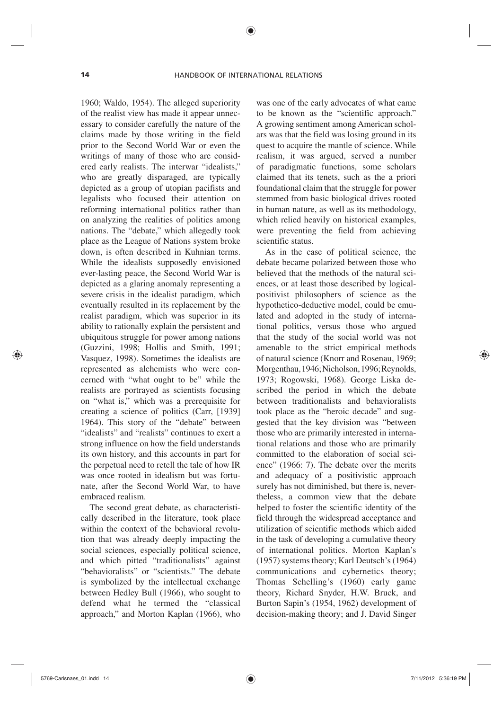1960; Waldo, 1954). The alleged superiority of the realist view has made it appear unnecessary to consider carefully the nature of the claims made by those writing in the field prior to the Second World War or even the writings of many of those who are considered early realists. The interwar "idealists," who are greatly disparaged, are typically depicted as a group of utopian pacifists and legalists who focused their attention on reforming international politics rather than on analyzing the realities of politics among nations. The "debate," which allegedly took place as the League of Nations system broke down, is often described in Kuhnian terms. While the idealists supposedly envisioned ever-lasting peace, the Second World War is depicted as a glaring anomaly representing a severe crisis in the idealist paradigm, which eventually resulted in its replacement by the realist paradigm, which was superior in its ability to rationally explain the persistent and ubiquitous struggle for power among nations (Guzzini, 1998; Hollis and Smith, 1991; Vasquez, 1998). Sometimes the idealists are represented as alchemists who were concerned with "what ought to be" while the realists are portrayed as scientists focusing on "what is," which was a prerequisite for creating a science of politics (Carr, [1939] 1964). This story of the "debate" between "idealists" and "realists" continues to exert a strong influence on how the field understands its own history, and this accounts in part for the perpetual need to retell the tale of how IR was once rooted in idealism but was fortunate, after the Second World War, to have embraced realism.

The second great debate, as characteristically described in the literature, took place within the context of the behavioral revolution that was already deeply impacting the social sciences, especially political science, and which pitted "traditionalists" against "behavioralists" or "scientists." The debate is symbolized by the intellectual exchange between Hedley Bull (1966), who sought to defend what he termed the "classical approach," and Morton Kaplan (1966), who

was one of the early advocates of what came to be known as the "scientific approach." A growing sentiment among American scholars was that the field was losing ground in its quest to acquire the mantle of science. While realism, it was argued, served a number of paradigmatic functions, some scholars claimed that its tenets, such as the a priori foundational claim that the struggle for power stemmed from basic biological drives rooted in human nature, as well as its methodology, which relied heavily on historical examples. were preventing the field from achieving scientific status.

As in the case of political science, the debate became polarized between those who believed that the methods of the natural sciences, or at least those described by logicalpositivist philosophers of science as the hypothetico-deductive model, could be emulated and adopted in the study of international politics, versus those who argued that the study of the social world was not amenable to the strict empirical methods of natural science (Knorr and Rosenau, 1969; Morgenthau, 1946; Nicholson, 1996; Reynolds, 1973; Rogowski, 1968). George Liska described the period in which the debate between traditionalists and behavioralists took place as the "heroic decade" and suggested that the key division was "between those who are primarily interested in international relations and those who are primarily committed to the elaboration of social science" (1966: 7). The debate over the merits and adequacy of a positivistic approach surely has not diminished, but there is, nevertheless, a common view that the debate helped to foster the scientific identity of the field through the widespread acceptance and utilization of scientific methods which aided in the task of developing a cumulative theory of international politics. Morton Kaplan's (1957) systems theory; Karl Deutsch's (1964) communications and cybernetics theory; Thomas Schelling's (1960) early game theory, Richard Snyder, H.W. Bruck, and Burton Sapin's (1954, 1962) development of decision-making theory; and J. David Singer

⊕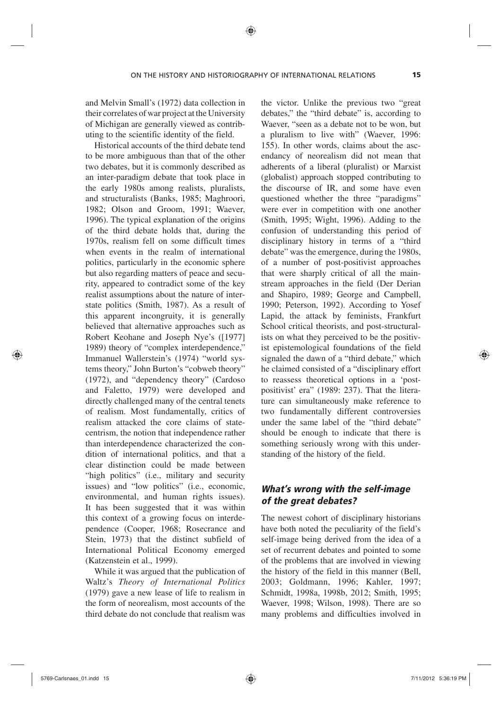and Melvin Small's (1972) data collection in their correlates of war project at the University of Michigan are generally viewed as contributing to the scientific identity of the field.

Historical accounts of the third debate tend to be more ambiguous than that of the other two debates, but it is commonly described as an inter-paradigm debate that took place in the early 1980s among realists, pluralists, and structuralists (Banks, 1985; Maghroori, 1982; Olson and Groom, 1991; Waever, 1996). The typical explanation of the origins of the third debate holds that, during the 1970s, realism fell on some difficult times when events in the realm of international politics, particularly in the economic sphere but also regarding matters of peace and security, appeared to contradict some of the key realist assumptions about the nature of interstate politics (Smith, 1987). As a result of this apparent incongruity, it is generally believed that alternative approaches such as Robert Keohane and Joseph Nye's ([1977] 1989) theory of "complex interdependence," Immanuel Wallerstein's (1974) "world systems theory," John Burton's "cobweb theory" (1972), and "dependency theory" (Cardoso and Faletto, 1979) were developed and directly challenged many of the central tenets of realism. Most fundamentally, critics of realism attacked the core claims of statecentrism, the notion that independence rather than interdependence characterized the condition of international politics, and that a clear distinction could be made between "high politics" (i.e., military and security issues) and "low politics" (i.e., economic, environmental, and human rights issues). It has been suggested that it was within this context of a growing focus on interdependence (Cooper, 1968; Rosecrance and Stein, 1973) that the distinct subfield of International Political Economy emerged (Katzenstein et al., 1999).

While it was argued that the publication of Waltz's *Theory of International Politics* (1979) gave a new lease of life to realism in the form of neorealism, most accounts of the third debate do not conclude that realism was the victor. Unlike the previous two "great debates," the "third debate" is, according to Waever, "seen as a debate not to be won, but a pluralism to live with" (Waever, 1996: 155). In other words, claims about the ascendancy of neorealism did not mean that adherents of a liberal (pluralist) or Marxist (globalist) approach stopped contributing to the discourse of IR, and some have even questioned whether the three "paradigms" were ever in competition with one another (Smith, 1995; Wight, 1996). Adding to the confusion of understanding this period of disciplinary history in terms of a "third debate" was the emergence, during the 1980s, of a number of post-positivist approaches that were sharply critical of all the mainstream approaches in the field (Der Derian and Shapiro, 1989; George and Campbell, 1990; Peterson, 1992). According to Yosef Lapid, the attack by feminists, Frankfurt School critical theorists, and post-structuralists on what they perceived to be the positivist epistemological foundations of the field signaled the dawn of a "third debate," which he claimed consisted of a "disciplinary effort to reassess theoretical options in a 'postpositivist' era" (1989: 237). That the literature can simultaneously make reference to two fundamentally different controversies under the same label of the "third debate" should be enough to indicate that there is something seriously wrong with this understanding of the history of the field.

# *What's wrong with the self-image of the great debates?*

The newest cohort of disciplinary historians have both noted the peculiarity of the field's self-image being derived from the idea of a set of recurrent debates and pointed to some of the problems that are involved in viewing the history of the field in this manner (Bell, 2003; Goldmann, 1996; Kahler, 1997; Schmidt, 1998a, 1998b, 2012; Smith, 1995; Waever, 1998; Wilson, 1998). There are so many problems and difficulties involved in

⊕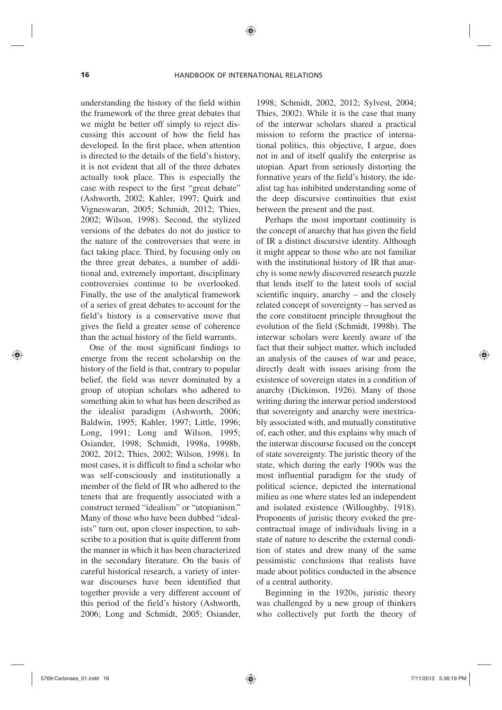understanding the history of the field within the framework of the three great debates that we might be better off simply to reject discussing this account of how the field has developed. In the first place, when attention is directed to the details of the field's history, it is not evident that all of the three debates actually took place. This is especially the case with respect to the first "great debate" (Ashworth, 2002; Kahler, 1997; Quirk and Vigneswaran, 2005; Schmidt, 2012; Thies, 2002; Wilson, 1998). Second, the stylized versions of the debates do not do justice to the nature of the controversies that were in fact taking place. Third, by focusing only on the three great debates, a number of additional and, extremely important, disciplinary controversies continue to be overlooked. Finally, the use of the analytical framework of a series of great debates to account for the field's history is a conservative move that gives the field a greater sense of coherence than the actual history of the field warrants.

One of the most significant findings to emerge from the recent scholarship on the history of the field is that, contrary to popular belief, the field was never dominated by a group of utopian scholars who adhered to something akin to what has been described as the idealist paradigm (Ashworth, 2006; Baldwin, 1995; Kahler, 1997; Little, 1996; Long, 1991; Long and Wilson, 1995; Osiander, 1998; Schmidt, 1998a, 1998b, 2002, 2012; Thies, 2002; Wilson, 1998). In most cases, it is difficult to find a scholar who was self-consciously and institutionally a member of the field of IR who adhered to the tenets that are frequently associated with a construct termed "idealism" or "utopianism." Many of those who have been dubbed "idealists" turn out, upon closer inspection, to subscribe to a position that is quite different from the manner in which it has been characterized in the secondary literature. On the basis of careful historical research, a variety of interwar discourses have been identified that together provide a very different account of this period of the field's history (Ashworth, 2006; Long and Schmidt, 2005; Osiander,

1998; Schmidt, 2002, 2012; Sylvest, 2004; Thies, 2002). While it is the case that many of the interwar scholars shared a practical mission to reform the practice of international politics, this objective, I argue, does not in and of itself qualify the enterprise as utopian. Apart from seriously distorting the formative years of the field's history, the idealist tag has inhibited understanding some of the deep discursive continuities that exist between the present and the past.

Perhaps the most important continuity is the concept of anarchy that has given the field of IR a distinct discursive identity. Although it might appear to those who are not familiar with the institutional history of IR that anarchy is some newly discovered research puzzle that lends itself to the latest tools of social scientific inquiry, anarchy – and the closely related concept of sovereignty – has served as the core constituent principle throughout the evolution of the field (Schmidt, 1998b). The interwar scholars were keenly aware of the fact that their subject matter, which included an analysis of the causes of war and peace, directly dealt with issues arising from the existence of sovereign states in a condition of anarchy (Dickinson, 1926). Many of those writing during the interwar period understood that sovereignty and anarchy were inextricably associated with, and mutually constitutive of, each other, and this explains why much of the interwar discourse focused on the concept of state sovereignty. The juristic theory of the state, which during the early 1900s was the most influential paradigm for the study of political science, depicted the international milieu as one where states led an independent and isolated existence (Willoughby, 1918). Proponents of juristic theory evoked the precontractual image of individuals living in a state of nature to describe the external condition of states and drew many of the same pessimistic conclusions that realists have made about politics conducted in the absence of a central authority.

Beginning in the 1920s, juristic theory was challenged by a new group of thinkers who collectively put forth the theory of

⊕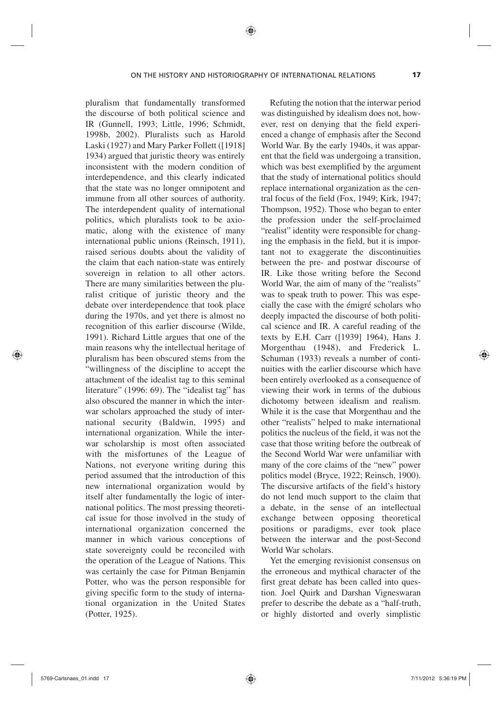pluralism that fundamentally transformed the discourse of both political science and IR (Gunnell, 1993; Little, 1996; Schmidt, 1998b, 2002). Pluralists such as Harold Laski (1927) and Mary Parker Follett ([1918] 1934) argued that juristic theory was entirely inconsistent with the modern condition of interdependence, and this clearly indicated that the state was no longer omnipotent and immune from all other sources of authority. The interdependent quality of international politics, which pluralists took to be axiomatic, along with the existence of many international public unions (Reinsch, 1911), raised serious doubts about the validity of the claim that each nation-state was entirely sovereign in relation to all other actors. There are many similarities between the pluralist critique of juristic theory and the debate over interdependence that took place during the 1970s, and yet there is almost no recognition of this earlier discourse (Wilde, 1991). Richard Little argues that one of the main reasons why the intellectual heritage of pluralism has been obscured stems from the "willingness of the discipline to accept the attachment of the idealist tag to this seminal literature" (1996: 69). The "idealist tag" has also obscured the manner in which the interwar scholars approached the study of international security (Baldwin, 1995) and international organization. While the interwar scholarship is most often associated with the misfortunes of the League of Nations, not everyone writing during this period assumed that the introduction of this new international organization would by itself alter fundamentally the logic of international politics. The most pressing theoretical issue for those involved in the study of international organization concerned the manner in which various conceptions of state sovereignty could be reconciled with the operation of the League of Nations. This was certainly the case for Pitman Benjamin Potter, who was the person responsible for giving specific form to the study of international organization in the United States (Potter, 1925).

Refuting the notion that the interwar period was distinguished by idealism does not, however, rest on denying that the field experienced a change of emphasis after the Second World War. By the early 1940s, it was apparent that the field was undergoing a transition, which was best exemplified by the argument that the study of international politics should replace international organization as the central focus of the field (Fox, 1949; Kirk, 1947; Thompson, 1952). Those who began to enter the profession under the self-proclaimed "realist" identity were responsible for changing the emphasis in the field, but it is important not to exaggerate the discontinuities between the pre- and postwar discourse of IR. Like those writing before the Second World War, the aim of many of the "realists" was to speak truth to power. This was especially the case with the émigré scholars who deeply impacted the discourse of both political science and IR. A careful reading of the texts by E.H. Carr ([1939] 1964), Hans J. Morgenthau (1948), and Frederick L. Schuman (1933) reveals a number of continuities with the earlier discourse which have been entirely overlooked as a consequence of viewing their work in terms of the dubious dichotomy between idealism and realism. While it is the case that Morgenthau and the other "realists" helped to make international politics the nucleus of the field, it was not the case that those writing before the outbreak of the Second World War were unfamiliar with many of the core claims of the "new" power politics model (Bryce, 1922; Reinsch, 1900). The discursive artifacts of the field's history do not lend much support to the claim that a debate, in the sense of an intellectual exchange between opposing theoretical positions or paradigms, ever took place between the interwar and the post-Second World War scholars.

Yet the emerging revisionist consensus on the erroneous and mythical character of the first great debate has been called into question. Joel Quirk and Darshan Vigneswaran prefer to describe the debate as a "half-truth, or highly distorted and overly simplistic

⊕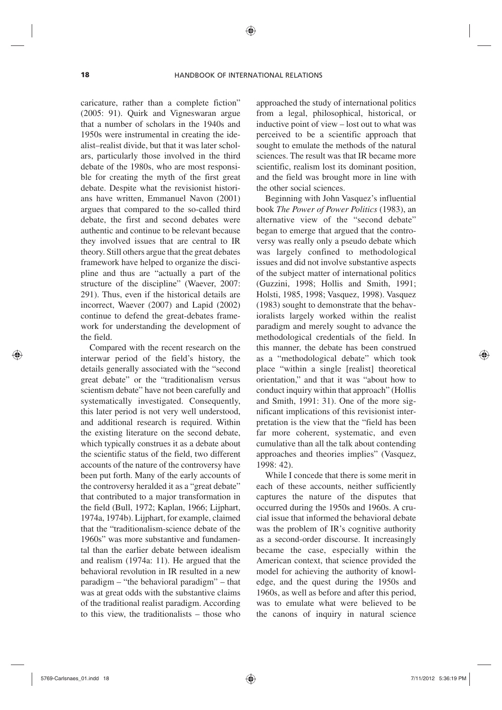caricature, rather than a complete fiction" (2005: 91). Quirk and Vigneswaran argue that a number of scholars in the 1940s and 1950s were instrumental in creating the idealist–realist divide, but that it was later scholars, particularly those involved in the third debate of the 1980s, who are most responsible for creating the myth of the first great debate. Despite what the revisionist historians have written, Emmanuel Navon (2001) argues that compared to the so-called third debate, the first and second debates were authentic and continue to be relevant because they involved issues that are central to IR theory. Still others argue that the great debates framework have helped to organize the discipline and thus are "actually a part of the structure of the discipline" (Waever, 2007: 291). Thus, even if the historical details are incorrect, Waever (2007) and Lapid (2002) continue to defend the great-debates framework for understanding the development of the field.

Compared with the recent research on the interwar period of the field's history, the details generally associated with the "second great debate" or the "traditionalism versus scientism debate" have not been carefully and systematically investigated. Consequently, this later period is not very well understood, and additional research is required. Within the existing literature on the second debate, which typically construes it as a debate about the scientific status of the field, two different accounts of the nature of the controversy have been put forth. Many of the early accounts of the controversy heralded it as a "great debate" that contributed to a major transformation in the field (Bull, 1972; Kaplan, 1966; Lijphart, 1974a, 1974b). Lijphart, for example, claimed that the "traditionalism-science debate of the 1960s" was more substantive and fundamental than the earlier debate between idealism and realism (1974a: 11). He argued that the behavioral revolution in IR resulted in a new paradigm – "the behavioral paradigm" – that was at great odds with the substantive claims of the traditional realist paradigm. According to this view, the traditionalists – those who

approached the study of international politics from a legal, philosophical, historical, or inductive point of view – lost out to what was perceived to be a scientific approach that sought to emulate the methods of the natural sciences. The result was that IR became more scientific, realism lost its dominant position, and the field was brought more in line with the other social sciences.

Beginning with John Vasquez's influential book *The Power of Power Politics* (1983), an alternative view of the "second debate" began to emerge that argued that the controversy was really only a pseudo debate which was largely confined to methodological issues and did not involve substantive aspects of the subject matter of international politics (Guzzini, 1998; Hollis and Smith, 1991; Holsti, 1985, 1998; Vasquez, 1998). Vasquez (1983) sought to demonstrate that the behavioralists largely worked within the realist paradigm and merely sought to advance the methodological credentials of the field. In this manner, the debate has been construed as a "methodological debate" which took place "within a single [realist] theoretical orientation," and that it was "about how to conduct inquiry within that approach" (Hollis and Smith, 1991: 31). One of the more significant implications of this revisionist interpretation is the view that the "field has been far more coherent, systematic, and even cumulative than all the talk about contending approaches and theories implies" (Vasquez, 1998: 42).

While I concede that there is some merit in each of these accounts, neither sufficiently captures the nature of the disputes that occurred during the 1950s and 1960s. A crucial issue that informed the behavioral debate was the problem of IR's cognitive authority as a second-order discourse. It increasingly became the case, especially within the American context, that science provided the model for achieving the authority of knowledge, and the quest during the 1950s and 1960s, as well as before and after this period, was to emulate what were believed to be the canons of inquiry in natural science

⊕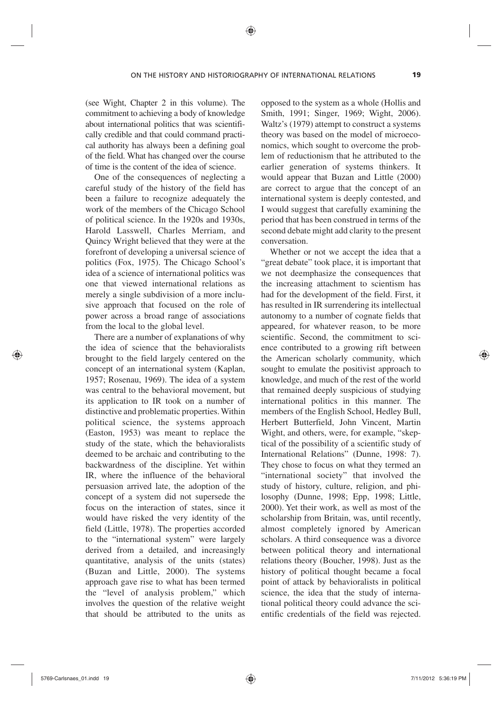(see Wight, Chapter 2 in this volume). The commitment to achieving a body of knowledge about international politics that was scientifically credible and that could command practical authority has always been a defining goal of the field. What has changed over the course of time is the content of the idea of science.

One of the consequences of neglecting a careful study of the history of the field has been a failure to recognize adequately the work of the members of the Chicago School of political science. In the 1920s and 1930s, Harold Lasswell, Charles Merriam, and Quincy Wright believed that they were at the forefront of developing a universal science of politics (Fox, 1975). The Chicago School's idea of a science of international politics was one that viewed international relations as merely a single subdivision of a more inclusive approach that focused on the role of power across a broad range of associations from the local to the global level.

There are a number of explanations of why the idea of science that the behavioralists brought to the field largely centered on the concept of an international system (Kaplan, 1957; Rosenau, 1969). The idea of a system was central to the behavioral movement, but its application to IR took on a number of distinctive and problematic properties. Within political science, the systems approach (Easton, 1953) was meant to replace the study of the state, which the behavioralists deemed to be archaic and contributing to the backwardness of the discipline. Yet within IR, where the influence of the behavioral persuasion arrived late, the adoption of the concept of a system did not supersede the focus on the interaction of states, since it would have risked the very identity of the field (Little, 1978). The properties accorded to the "international system" were largely derived from a detailed, and increasingly quantitative, analysis of the units (states) (Buzan and Little, 2000). The systems approach gave rise to what has been termed the "level of analysis problem," which involves the question of the relative weight that should be attributed to the units as opposed to the system as a whole (Hollis and Smith, 1991; Singer, 1969; Wight, 2006). Waltz's (1979) attempt to construct a systems theory was based on the model of microeconomics, which sought to overcome the problem of reductionism that he attributed to the earlier generation of systems thinkers. It would appear that Buzan and Little (2000) are correct to argue that the concept of an international system is deeply contested, and I would suggest that carefully examining the period that has been construed in terms of the second debate might add clarity to the present conversation.

Whether or not we accept the idea that a "great debate" took place, it is important that we not deemphasize the consequences that the increasing attachment to scientism has had for the development of the field. First, it has resulted in IR surrendering its intellectual autonomy to a number of cognate fields that appeared, for whatever reason, to be more scientific. Second, the commitment to science contributed to a growing rift between the American scholarly community, which sought to emulate the positivist approach to knowledge, and much of the rest of the world that remained deeply suspicious of studying international politics in this manner. The members of the English School, Hedley Bull, Herbert Butterfield, John Vincent, Martin Wight, and others, were, for example, "skeptical of the possibility of a scientific study of International Relations" (Dunne, 1998: 7). They chose to focus on what they termed an "international society" that involved the study of history, culture, religion, and philosophy (Dunne, 1998; Epp, 1998; Little, 2000). Yet their work, as well as most of the scholarship from Britain, was, until recently, almost completely ignored by American scholars. A third consequence was a divorce between political theory and international relations theory (Boucher, 1998). Just as the history of political thought became a focal point of attack by behavioralists in political science, the idea that the study of international political theory could advance the scientific credentials of the field was rejected.

⊕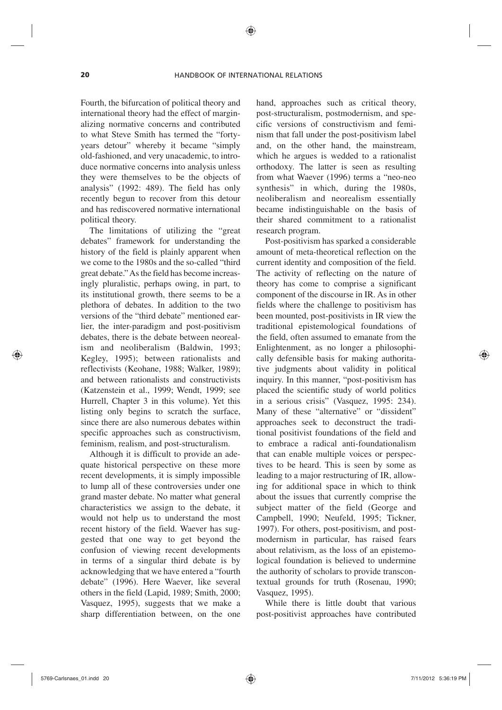Fourth, the bifurcation of political theory and international theory had the effect of marginalizing normative concerns and contributed to what Steve Smith has termed the "fortyyears detour" whereby it became "simply old-fashioned, and very unacademic, to introduce normative concerns into analysis unless they were themselves to be the objects of analysis" (1992: 489). The field has only recently begun to recover from this detour and has rediscovered normative international political theory.

The limitations of utilizing the "great debates" framework for understanding the history of the field is plainly apparent when we come to the 1980s and the so-called "third great debate." As the field has become increasingly pluralistic, perhaps owing, in part, to its institutional growth, there seems to be a plethora of debates. In addition to the two versions of the "third debate" mentioned earlier, the inter-paradigm and post-positivism debates, there is the debate between neorealism and neoliberalism (Baldwin, 1993; Kegley, 1995); between rationalists and reflectivists (Keohane, 1988; Walker, 1989); and between rationalists and constructivists (Katzenstein et al., 1999; Wendt, 1999; see Hurrell, Chapter 3 in this volume). Yet this listing only begins to scratch the surface, since there are also numerous debates within specific approaches such as constructivism, feminism, realism, and post-structuralism.

Although it is difficult to provide an adequate historical perspective on these more recent developments, it is simply impossible to lump all of these controversies under one grand master debate. No matter what general characteristics we assign to the debate, it would not help us to understand the most recent history of the field. Waever has suggested that one way to get beyond the confusion of viewing recent developments in terms of a singular third debate is by acknowledging that we have entered a "fourth debate" (1996). Here Waever, like several others in the field (Lapid, 1989; Smith, 2000; Vasquez, 1995), suggests that we make a sharp differentiation between, on the one

hand, approaches such as critical theory, post-structuralism, postmodernism, and specific versions of constructivism and feminism that fall under the post-positivism label and, on the other hand, the mainstream, which he argues is wedded to a rationalist orthodoxy. The latter is seen as resulting from what Waever (1996) terms a "neo-neo synthesis" in which, during the 1980s, neoliberalism and neorealism essentially became indistinguishable on the basis of their shared commitment to a rationalist research program.

Post-positivism has sparked a considerable amount of meta-theoretical reflection on the current identity and composition of the field. The activity of reflecting on the nature of theory has come to comprise a significant component of the discourse in IR. As in other fields where the challenge to positivism has been mounted, post-positivists in IR view the traditional epistemological foundations of the field, often assumed to emanate from the Enlightenment, as no longer a philosophically defensible basis for making authoritative judgments about validity in political inquiry. In this manner, "post-positivism has placed the scientific study of world politics in a serious crisis" (Vasquez, 1995: 234). Many of these "alternative" or "dissident" approaches seek to deconstruct the traditional positivist foundations of the field and to embrace a radical anti-foundationalism that can enable multiple voices or perspectives to be heard. This is seen by some as leading to a major restructuring of IR, allowing for additional space in which to think about the issues that currently comprise the subject matter of the field (George and Campbell, 1990; Neufeld, 1995; Tickner, 1997). For others, post-positivism, and postmodernism in particular, has raised fears about relativism, as the loss of an epistemological foundation is believed to undermine the authority of scholars to provide transcontextual grounds for truth (Rosenau, 1990; Vasquez, 1995).

While there is little doubt that various post-positivist approaches have contributed

⊕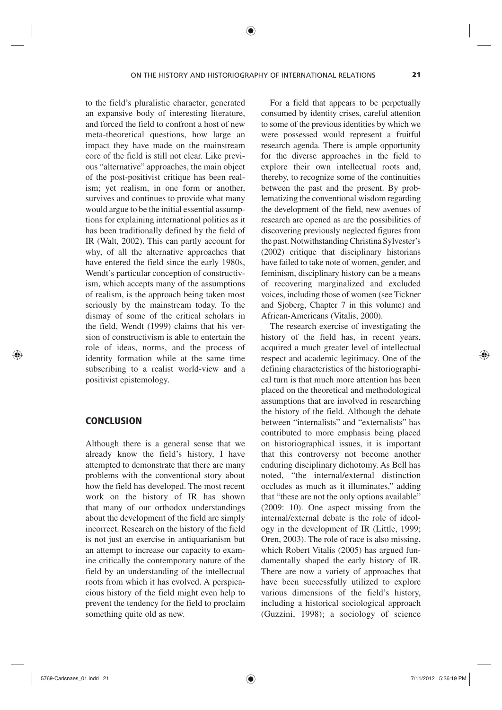to the field's pluralistic character, generated an expansive body of interesting literature, and forced the field to confront a host of new meta-theoretical questions, how large an impact they have made on the mainstream core of the field is still not clear. Like previous "alternative" approaches, the main object of the post-positivist critique has been realism; yet realism, in one form or another, survives and continues to provide what many would argue to be the initial essential assumptions for explaining international politics as it has been traditionally defined by the field of IR (Walt, 2002). This can partly account for why, of all the alternative approaches that have entered the field since the early 1980s, Wendt's particular conception of constructivism, which accepts many of the assumptions of realism, is the approach being taken most seriously by the mainstream today. To the dismay of some of the critical scholars in the field, Wendt (1999) claims that his version of constructivism is able to entertain the role of ideas, norms, and the process of identity formation while at the same time subscribing to a realist world-view and a positivist epistemology.

#### **CONCLUSION**

⊕

Although there is a general sense that we already know the field's history, I have attempted to demonstrate that there are many problems with the conventional story about how the field has developed. The most recent work on the history of IR has shown that many of our orthodox understandings about the development of the field are simply incorrect. Research on the history of the field is not just an exercise in antiquarianism but an attempt to increase our capacity to examine critically the contemporary nature of the field by an understanding of the intellectual roots from which it has evolved. A perspicacious history of the field might even help to prevent the tendency for the field to proclaim something quite old as new.

For a field that appears to be perpetually consumed by identity crises, careful attention to some of the previous identities by which we were possessed would represent a fruitful research agenda. There is ample opportunity for the diverse approaches in the field to explore their own intellectual roots and, thereby, to recognize some of the continuities between the past and the present. By problematizing the conventional wisdom regarding the development of the field, new avenues of research are opened as are the possibilities of discovering previously neglected figures from the past. Notwithstanding Christina Sylvester's (2002) critique that disciplinary historians have failed to take note of women, gender, and feminism, disciplinary history can be a means of recovering marginalized and excluded voices, including those of women (see Tickner and Sjoberg, Chapter 7 in this volume) and African-Americans (Vitalis, 2000).

The research exercise of investigating the history of the field has, in recent years, acquired a much greater level of intellectual respect and academic legitimacy. One of the defining characteristics of the historiographical turn is that much more attention has been placed on the theoretical and methodological assumptions that are involved in researching the history of the field. Although the debate between "internalists" and "externalists" has contributed to more emphasis being placed on historiographical issues, it is important that this controversy not become another enduring disciplinary dichotomy. As Bell has noted, "the internal/external distinction occludes as much as it illuminates," adding that "these are not the only options available" (2009: 10). One aspect missing from the internal/external debate is the role of ideology in the development of IR (Little, 1999; Oren, 2003). The role of race is also missing, which Robert Vitalis (2005) has argued fundamentally shaped the early history of IR. There are now a variety of approaches that have been successfully utilized to explore various dimensions of the field's history, including a historical sociological approach (Guzzini, 1998); a sociology of science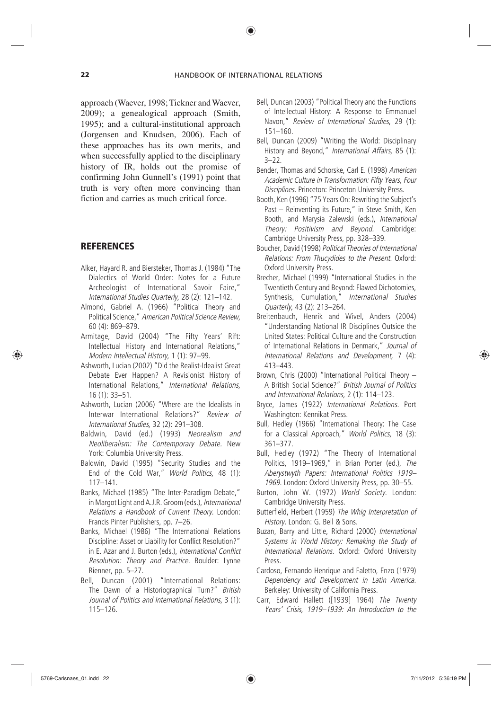approach (Waever, 1998; Tickner and Waever, 2009); a genealogical approach (Smith, 1995); and a cultural-institutional approach (Jorgensen and Knudsen, 2006). Each of these approaches has its own merits, and when successfully applied to the disciplinary history of IR, holds out the promise of confirming John Gunnell's (1991) point that truth is very often more convincing than fiction and carries as much critical force.

### **REFERENCES**

⊕

- Alker, Hayard R. and Biersteker, Thomas J. (1984) "The Dialectics of World Order: Notes for a Future Archeologist of International Savoir Faire," *International Studies Quarterly,* 28 (2): 121–142.
- Almond, Gabriel A. (1966) "Political Theory and Political Science," *American Political Science Review,* 60 (4): 869–879.
- Armitage, David (2004) "The Fifty Years' Rift: Intellectual History and International Relations," *Modern Intellectual History,* 1 (1): 97–99.
- Ashworth, Lucian (2002) "Did the Realist-Idealist Great Debate Ever Happen? A Revisionist History of International Relations," *International Relations,*  16 (1): 33–51.
- Ashworth, Lucian (2006) "Where are the Idealists in Interwar International Relations?" *Review of International Studies,* 32 (2): 291–308.
- Baldwin, David (ed.) (1993) *Neorealism and Neoliberalism: The Contemporary Debate.* New York: Columbia University Press.
- Baldwin, David (1995) "Security Studies and the End of the Cold War," *World Politics,* 48 (1): 117–141.
- Banks, Michael (1985) "The Inter-Paradigm Debate," in Margot Light and A.J.R. Groom (eds.), *International Relations a Handbook of Current Theory.* London: Francis Pinter Publishers, pp. 7–26.
- Banks, Michael (1986) "The International Relations Discipline: Asset or Liability for Conflict Resolution?" in E. Azar and J. Burton (eds.), *International Conflict Resolution: Theory and Practice.* Boulder: Lynne Rienner, pp. 5–27.
- Bell, Duncan (2001) "International Relations: The Dawn of a Historiographical Turn?" *British Journal of Politics and International Relations,* 3 (1): 115–126.
- Bell, Duncan (2003) "Political Theory and the Functions of Intellectual History: A Response to Emmanuel Navon," *Review of International Studies*, 29 (1): 151–160.
- Bell, Duncan (2009) "Writing the World: Disciplinary History and Beyond," *International Affairs,* 85 (1):  $3 - 22$ .
- Bender, Thomas and Schorske, Carl E. (1998) *American Academic Culture in Transformation: Fifty Years, Four Disciplines.* Princeton: Princeton University Press.
- Booth, Ken (1996) "75 Years On: Rewriting the Subject's Past – Reinventing its Future," in Steve Smith, Ken Booth, and Marysia Zalewski (eds.), *International Theory: Positivism and Beyond.* Cambridge: Cambridge University Press, pp. 328–339.
- Boucher, David (1998) *Political Theories of International Relations: From Thucydides to the Present.* Oxford: Oxford University Press.
- Brecher, Michael (1999) "International Studies in the Twentieth Century and Beyond: Flawed Dichotomies, Synthesis, Cumulation," *International Studies Quarterly,* 43 (2): 213–264.
- Breitenbauch, Henrik and Wivel, Anders (2004) "Understanding National IR Disciplines Outside the United States: Political Culture and the Construction of International Relations in Denmark," *Journal of International Relations and Development,* 7 (4): 413–443.
- Brown, Chris (2000) "International Political Theory A British Social Science?" *British Journal of Politics and International Relations,* 2 (1): 114–123.
- Bryce, James (1922) *International Relations.* Port Washington: Kennikat Press.
- Bull, Hedley (1966) "International Theory: The Case for a Classical Approach," *World Politics,* 18 (3): 361–377.
- Bull, Hedley (1972) "The Theory of International Politics, 1919–1969," in Brian Porter (ed.), *The Aberystwyth Papers: International Politics 1919– 1969.* London: Oxford University Press, pp. 30–55.
- Burton, John W. (1972) *World Society.* London: Cambridge University Press.
- Butterfield, Herbert (1959) *The Whig Interpretation of History.* London: G. Bell & Sons.
- Buzan, Barry and Little, Richard (2000) *International Systems in World History: Remaking the Study of International Relations.* Oxford: Oxford University Press.
- Cardoso, Fernando Henrique and Faletto, Enzo (1979) *Dependency and Development in Latin America.*  Berkeley: University of California Press.
- Carr, Edward Hallett ([1939] 1964) *The Twenty Years' Crisis, 1919–1939: An Introduction to the*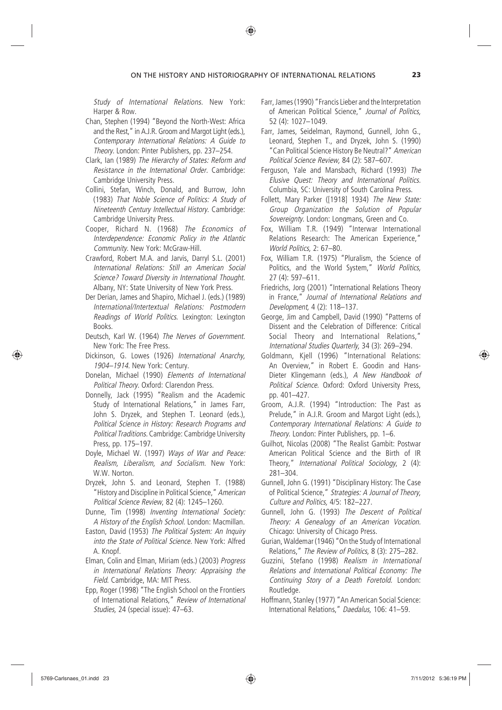*Study of International Relations.* New York: Harper & Row.

- Chan, Stephen (1994) "Beyond the North-West: Africa and the Rest," in A.J.R. Groom and Margot Light (eds.), *Contemporary International Relations: A Guide to Theory.* London: Pinter Publishers, pp. 237–254.
- Clark, Ian (1989) *The Hierarchy of States: Reform and Resistance in the International Order.* Cambridge: Cambridge University Press.
- Collini, Stefan, Winch, Donald, and Burrow, John (1983) *That Noble Science of Politics: A Study of Nineteenth Century Intellectual History.* Cambridge: Cambridge University Press.
- Cooper, Richard N. (1968) *The Economics of Interdependence: Economic Policy in the Atlantic Community.* New York: McGraw-Hill.
- Crawford, Robert M.A. and Jarvis, Darryl S.L. (2001) *International Relations: Still an American Social Science? Toward Diversity in International Thought.* Albany, NY: State University of New York Press.
- Der Derian, James and Shapiro, Michael J. (eds.) (1989) *International/Intertextual Relations: Postmodern Readings of World Politics.* Lexington: Lexington Books.
- Deutsch, Karl W. (1964) *The Nerves of Government.*  New York: The Free Press.
- Dickinson, G. Lowes (1926) *International Anarchy, 1904–1914.* New York: Century.
- Donelan, Michael (1990) *Elements of International Political Theory.* Oxford: Clarendon Press.
- Donnelly, Jack (1995) "Realism and the Academic Study of International Relations," in James Farr, John S. Dryzek, and Stephen T. Leonard (eds.), *Political Science in History: Research Programs and Political Traditions.* Cambridge: Cambridge University Press, pp. 175–197.
- Doyle, Michael W. (1997) *Ways of War and Peace: Realism, Liberalism, and Socialism.* New York: W.W. Norton.
- Dryzek, John S. and Leonard, Stephen T. (1988) "History and Discipline in Political Science," *American Political Science Review*, 82 (4): 1245–1260.
- Dunne, Tim (1998) *Inventing International Society: A History of the English School.* London: Macmillan.
- Easton, David (1953) *The Political System: An Inquiry into the State of Political Science.* New York: Alfred A Knopf
- Elman, Colin and Elman, Miriam (eds.) (2003) *Progress in International Relations Theory: Appraising the Field*. Cambridge, MA: MIT Press.
- Epp, Roger (1998) "The English School on the Frontiers of International Relations," *Review of International Studies,* 24 (special issue): 47–63.
- Farr, James (1990) "Francis Lieber and the Interpretation of American Political Science," *Journal of Politics,*  52 (4): 1027–1049.
- Farr, James, Seidelman, Raymond, Gunnell, John G., Leonard, Stephen T., and Dryzek, John S. (1990) "Can Political Science History Be Neutral?" *American Political Science Review,* 84 (2): 587–607.
- Ferguson, Yale and Mansbach, Richard (1993) *The Elusive Quest: Theory and International Politics.*  Columbia, SC: University of South Carolina Press.
- Follett, Mary Parker ([1918] 1934) *The New State: Group Organization the Solution of Popular Sovereignty.* London: Longmans, Green and Co.
- Fox, William T.R. (1949) "Interwar International Relations Research: The American Experience," *World Politics,* 2: 67–80.
- Fox, William T.R. (1975) "Pluralism, the Science of Politics, and the World System," *World Politics,* 27 (4): 597–611.
- Friedrichs, Jorg (2001) "International Relations Theory in France," *Journal of International Relations and Development,* 4 (2): 118–137.
- George, Jim and Campbell, David (1990) "Patterns of Dissent and the Celebration of Difference: Critical Social Theory and International Relations,' *International Studies Quarterly,* 34 (3): 269–294.
- Goldmann, Kjell (1996) "International Relations: An Overview," in Robert E. Goodin and Hans-Dieter Klingemann (eds.), *A New Handbook of Political Science.* Oxford: Oxford University Press, pp. 401–427.
- Groom, A.J.R. (1994) "Introduction: The Past as Prelude," in A.J.R. Groom and Margot Light (eds.), *Contemporary International Relations: A Guide to Theory.* London: Pinter Publishers, pp. 1–6.
- Guilhot, Nicolas (2008) "The Realist Gambit: Postwar American Political Science and the Birth of IR Theory," *International Political Sociology*, 2 (4): 281–304.
- Gunnell, John G. (1991) "Disciplinary History: The Case of Political Science," *Strategies: A Journal of Theory, Culture and Politics,* 4/5: 182–227.
- Gunnell, John G. (1993) *The Descent of Political Theory: A Genealogy of an American Vocation.* Chicago: University of Chicago Press.
- Gurian, Waldemar (1946) "On the Study of International Relations," *The Review of Politics,* 8 (3): 275–282.
- Guzzini, Stefano (1998) *Realism in International Relations and International Political Economy: The Continuing Story of a Death Foretold.* London: Routledge.
- Hoffmann, Stanley (1977) "An American Social Science: International Relations," *Daedalus,* 106: 41–59.

⊕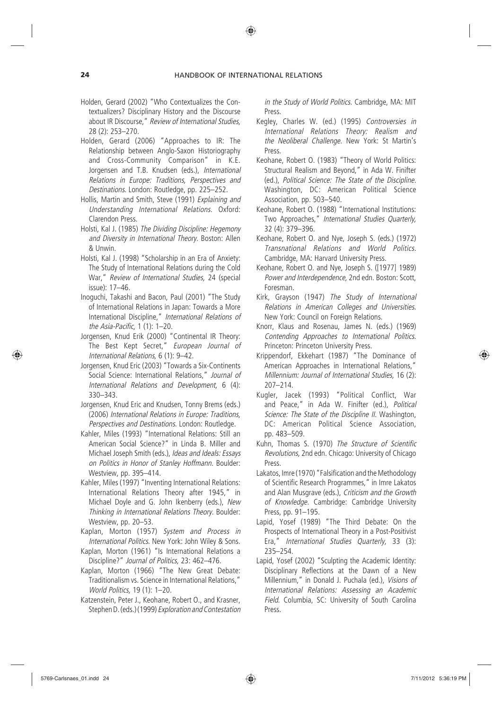- Holden, Gerard (2002) "Who Contextualizes the Contextualizers? Disciplinary History and the Discourse about IR Discourse," *Review of International Studies,* 28 (2): 253–270.
- Holden, Gerard (2006) "Approaches to IR: The Relationship between Anglo-Saxon Historiography and Cross-Community Comparison" in K.E. Jorgensen and T.B. Knudsen (eds.), *International Relations in Europe: Traditions, Perspectives and Destinations*. London: Routledge, pp. 225–252.
- Hollis, Martin and Smith, Steve (1991) *Explaining and Understanding International Relations.* Oxford: Clarendon Press.
- Holsti, Kal J. (1985) *The Dividing Discipline: Hegemony and Diversity in International Theory.* Boston: Allen & Unwin.
- Holsti, Kal J. (1998) "Scholarship in an Era of Anxiety: The Study of International Relations during the Cold War," *Review of International Studies,* 24 (special issue): 17–46.
- Inoguchi, Takashi and Bacon, Paul (2001) "The Study of International Relations in Japan: Towards a More International Discipline," *International Relations of the Asia-Pacific,* 1 (1): 1–20.
- Jorgensen, Knud Erik (2000) "Continental IR Theory: The Best Kept Secret," *European Journal of International Relations,* 6 (1): 9–42.
- Jorgensen, Knud Eric (2003) "Towards a Six-Continents Social Science: International Relations," *Journal of International Relations and Development,* 6 (4): 330–343.
- Jorgensen, Knud Eric and Knudsen, Tonny Brems (eds.) (2006) *International Relations in Europe: Traditions, Perspectives and Destinations*. London: Routledge.
- Kahler, Miles (1993) "International Relations: Still an American Social Science?" in Linda B. Miller and Michael Joseph Smith (eds.), *Ideas and Ideals: Essays on Politics in Honor of Stanley Hoffmann.* Boulder: Westview, pp. 395–414.
- Kahler, Miles (1997) "Inventing International Relations: International Relations Theory after 1945," in Michael Doyle and G. John Ikenberry (eds.), *New Thinking in International Relations Theory.* Boulder: Westview, pp. 20–53.
- Kaplan, Morton (1957) *System and Process in International Politics.* New York: John Wiley & Sons.
- Kaplan, Morton (1961) "Is International Relations a Discipline?" *Journal of Politics,* 23: 462–476.
- Kaplan, Morton (1966) "The New Great Debate: Traditionalism vs. Science in International Relations," *World Politics,* 19 (1): 1–20.
- Katzenstein, Peter J., Keohane, Robert O., and Krasner, Stephen D. (eds.) (1999) *Exploration and Contestation*

*in the Study of World Politics.* Cambridge, MA: MIT **Press** 

- Kegley, Charles W. (ed.) (1995) *Controversies in International Relations Theory: Realism and the Neoliberal Challenge.* New York: St Martin's Press.
- Keohane, Robert O. (1983) "Theory of World Politics: Structural Realism and Beyond," in Ada W. Finifter (ed.), *Political Science: The State of the Discipline.*  Washington, DC: American Political Science Association, pp. 503–540.
- Keohane, Robert O. (1988) "International Institutions: Two Approaches," *International Studies Quarterly,*  32 (4): 379–396.
- Keohane, Robert O. and Nye, Joseph S. (eds.) (1972) *Transnational Relations and World Politics.*  Cambridge, MA: Harvard University Press.
- Keohane, Robert O. and Nye, Joseph S. ([1977] 1989) *Power and Interdependence,* 2nd edn. Boston: Scott, Foresman.
- Kirk, Grayson (1947) *The Study of International Relations in American Colleges and Universities.* New York: Council on Foreign Relations.
- Knorr, Klaus and Rosenau, James N. (eds.) (1969) *Contending Approaches to International Politics.*  Princeton: Princeton University Press.
- Krippendorf, Ekkehart (1987) "The Dominance of American Approaches in International Relations," *Millennium: Journal of International Studies,* 16 (2): 207–214.
- Kugler, Jacek (1993) "Political Conflict, War and Peace," in Ada W. Finifter (ed.), *Political Science: The State of the Discipline II.* Washington, DC: American Political Science Association, pp. 483–509.
- Kuhn, Thomas S. (1970) *The Structure of Scientific Revolutions,* 2nd edn. Chicago: University of Chicago Press.
- Lakatos, Imre (1970) "Falsification and the Methodology of Scientific Research Programmes," in Imre Lakatos and Alan Musgrave (eds.), *Criticism and the Growth of Knowledge.* Cambridge: Cambridge University Press, pp. 91–195.
- Lapid, Yosef (1989) "The Third Debate: On the Prospects of International Theory in a Post-Positivist Era," *International Studies Quarterly,* 33 (3): 235–254.
- Lapid, Yosef (2002) "Sculpting the Academic Identity: Disciplinary Reflections at the Dawn of a New Millennium," in Donald J. Puchala (ed.), *Visions of International Relations: Assessing an Academic Field*. Columbia, SC: University of South Carolina Press.

♠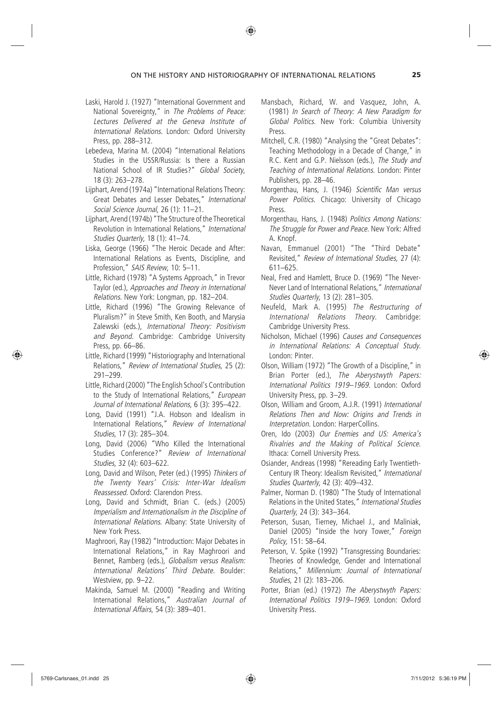#### ON THE HISTORY AND HISTORIOGRAPHY OF INTERNATIONAL RELATIONS **25**

◈

- Laski, Harold J. (1927) "International Government and National Sovereignty," in *The Problems of Peace: Lectures Delivered at the Geneva Institute of International Relations.* London: Oxford University Press, pp. 288–312.
- Lebedeva, Marina M. (2004) "International Relations Studies in the USSR/Russia: Is there a Russian National School of IR Studies?" *Global Society*, 18 (3): 263–278.
- Lijphart, Arend (1974a) "International Relations Theory: Great Debates and Lesser Debates," *International Social Science Journal,* 26 (1): 11–21.
- Lijphart, Arend (1974b) "The Structure of the Theoretical Revolution in International Relations," *International Studies Quarterly,* 18 (1): 41–74.
- Liska, George (1966) "The Heroic Decade and After: International Relations as Events, Discipline, and Profession," *SAIS Review*, 10: 5–11.
- Little, Richard (1978) "A Systems Approach," in Trevor Taylor (ed.), *Approaches and Theory in International Relations.* New York: Longman, pp. 182–204.
- Little, Richard (1996) "The Growing Relevance of Pluralism?" in Steve Smith, Ken Booth, and Marysia Zalewski (eds.), *International Theory: Positivism and Beyond.* Cambridge: Cambridge University Press, pp. 66–86.
- Little, Richard (1999) "Historiography and International Relations," *Review of International Studies,* 25 (2): 291–299.
- Little, Richard (2000) "The English School's Contribution to the Study of International Relations," *European Journal of International Relations,* 6 (3): 395–422.
- Long, David (1991) "J.A. Hobson and Idealism in International Relations," *Review of International Studies,* 17 (3): 285–304.
- Long, David (2006) "Who Killed the International Studies Conference?" *Review of International Studies,* 32 (4): 603–622.
- Long, David and Wilson, Peter (ed.) (1995) *Thinkers of the Twenty Years' Crisis: Inter-War Idealism Reassessed.* Oxford: Clarendon Press.
- Long, David and Schmidt, Brian C. (eds.) (2005) *Imperialism and Internationalism in the Discipline of International Relations*. Albany: State University of New York Press.
- Maghroori, Ray (1982) "Introduction: Major Debates in International Relations," in Ray Maghroori and Bennet, Ramberg (eds.), *Globalism versus Realism: International Relations' Third Debate.* Boulder: Westview, pp. 9–22.
- Makinda, Samuel M. (2000) "Reading and Writing International Relations," *Australian Journal of International Affairs*, 54 (3): 389–401.
- Mansbach, Richard, W. and Vasquez, John, A. (1981) *In Search of Theory: A New Paradigm for Global Politics.* New York: Columbia University Press.
- Mitchell, C.R. (1980) "Analysing the "Great Debates": Teaching Methodology in a Decade of Change," in R.C. Kent and G.P. Nielsson (eds.), *The Study and Teaching of International Relations.* London: Pinter Publishers, pp. 28–46.
- Morgenthau, Hans, J. (1946) *Scientific Man versus Power Politics.* Chicago: University of Chicago Press.
- Morgenthau, Hans, J. (1948) *Politics Among Nations: The Struggle for Power and Peace.* New York: Alfred A Knopf
- Navan, Emmanuel (2001) "The "Third Debate" Revisited," *Review of International Studies,* 27 (4): 611–625.
- Neal, Fred and Hamlett, Bruce D. (1969) "The Never-Never Land of International Relations," *International Studies Quarterly,* 13 (2): 281–305.
- Neufeld, Mark A. (1995) *The Restructuring of International Relations Theory.* Cambridge: Cambridge University Press.
- Nicholson, Michael (1996) *Causes and Consequences in International Relations: A Conceptual Study.* London: Pinter.
- Olson, William (1972) "The Growth of a Discipline," in Brian Porter (ed.), *The Aberystwyth Papers: International Politics 1919–1969.* London: Oxford University Press, pp. 3–29.
- Olson, William and Groom, A.J.R. (1991) *International Relations Then and Now: Origins and Trends in Interpretation.* London: HarperCollins.
- Oren, Ido (2003) *Our Enemies and US: America's Rivalries and the Making of Political Science*. Ithaca: Cornell University Press.
- Osiander, Andreas (1998) "Rereading Early Twentieth-Century IR Theory: Idealism Revisited," *International Studies Quarterly,* 42 (3): 409–432.
- Palmer, Norman D. (1980) "The Study of International Relations in the United States," *International Studies Quarterly,* 24 (3): 343–364.
- Peterson, Susan, Tierney, Michael J., and Maliniak, Daniel (2005) "Inside the Ivory Tower," *Foreign Policy,* 151: 58–64.
- Peterson, V. Spike (1992) "Transgressing Boundaries: Theories of Knowledge, Gender and International Relations," *Millennium: Journal of International Studies,* 21 (2): 183–206.
- Porter, Brian (ed.) (1972) *The Aberystwyth Papers: International Politics 1919–1969.* London: Oxford University Press.

⊕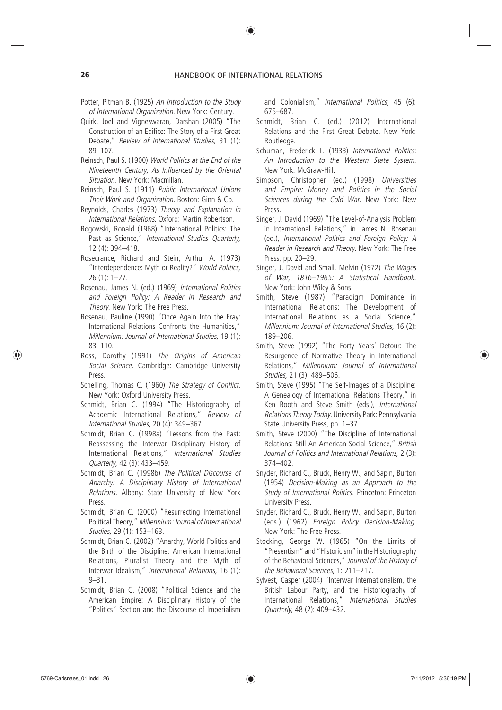- Potter, Pitman B. (1925) *An Introduction to the Study of International Organization.* New York: Century.
- Quirk, Joel and Vigneswaran, Darshan (2005) "The Construction of an Edifice: The Story of a First Great Debate," *Review of International Studies,* 31 (1): 89–107.
- Reinsch, Paul S. (1900) *World Politics at the End of the Nineteenth Century, As Influenced by the Oriental Situation.* New York: Macmillan.
- Reinsch, Paul S. (1911) *Public International Unions Their Work and Organization.* Boston: Ginn & Co.
- Reynolds, Charles (1973) *Theory and Explanation in International Relations.* Oxford: Martin Robertson.
- Rogowski, Ronald (1968) "International Politics: The Past as Science," *International Studies Quarterly,* 12 (4): 394–418.
- Rosecrance, Richard and Stein, Arthur A. (1973) "Interdependence: Myth or Reality?" *World Politics,*  26 (1): 1–27.
- Rosenau, James N. (ed.) (1969) *International Politics and Foreign Policy: A Reader in Research and Theory.* New York: The Free Press.
- Rosenau, Pauline (1990) "Once Again Into the Fray: International Relations Confronts the Humanities," *Millennium: Journal of International Studies,* 19 (1): 83–110.
- Ross, Dorothy (1991) *The Origins of American Social Science.* Cambridge: Cambridge University Press.
- Schelling, Thomas C. (1960) *The Strategy of Conflict.*  New York: Oxford University Press.
- Schmidt, Brian C. (1994) "The Historiography of Academic International Relations," *Review of International Studies,* 20 (4): 349–367.
- Schmidt, Brian C. (1998a) "Lessons from the Past: Reassessing the Interwar Disciplinary History of International Relations," *International Studies Quarterly,* 42 (3): 433–459.
- Schmidt, Brian C. (1998b) *The Political Discourse of Anarchy: A Disciplinary History of International Relations.* Albany: State University of New York Press.
- Schmidt, Brian C. (2000) "Resurrecting International Political Theory," *Millennium: Journal of International Studies,* 29 (1): 153–163.
- Schmidt, Brian C. (2002) "Anarchy, World Politics and the Birth of the Discipline: American International Relations, Pluralist Theory and the Myth of Interwar Idealism," *International Relations,* 16 (1): 9–31.
- Schmidt, Brian C. (2008) "Political Science and the American Empire: A Disciplinary History of the "Politics" Section and the Discourse of Imperialism

and Colonialism," *International Politics,* 45 (6): 675–687.

- Schmidt, Brian C. (ed.) (2012) International Relations and the First Great Debate. New York: Routledge.
- Schuman, Frederick L. (1933) *International Politics: An Introduction to the Western State System.* New York: McGraw-Hill.
- Simpson, Christopher (ed.) (1998) *Universities and Empire: Money and Politics in the Social Sciences during the Cold War.* New York: New Press.
- Singer, J. David (1969) "The Level-of-Analysis Problem in International Relations," in James N. Rosenau (ed.), *International Politics and Foreign Policy: A Reader in Research and Theory.* New York: The Free Press, pp. 20–29.
- Singer, J. David and Small, Melvin (1972) *The Wages of War, 1816–1965: A Statistical Handbook.* New York: John Wiley & Sons.
- Smith, Steve (1987) "Paradigm Dominance in International Relations: The Development of International Relations as a Social Science," *Millennium: Journal of International Studies,* 16 (2): 189–206.
- Smith, Steve (1992) "The Forty Years' Detour: The Resurgence of Normative Theory in International Relations," *Millennium: Journal of International Studies,* 21 (3): 489–506.
- Smith, Steve (1995) "The Self-Images of a Discipline: A Genealogy of International Relations Theory," in Ken Booth and Steve Smith (eds.), *International Relations Theory Today.* University Park: Pennsylvania State University Press, pp. 1–37.
- Smith, Steve (2000) "The Discipline of International Relations: Still An American Social Science," *British Journal of Politics and International Relations,* 2 (3): 374–402.
- Snyder, Richard C., Bruck, Henry W., and Sapin, Burton (1954) *Decision-Making as an Approach to the Study of International Politics.* Princeton: Princeton University Press.
- Snyder, Richard C., Bruck, Henry W., and Sapin, Burton (eds.) (1962) *Foreign Policy Decision-Making.* New York: The Free Press.
- Stocking, George W. (1965) "On the Limits of "Presentism" and "Historicism" in the Historiography of the Behavioral Sciences," *Journal of the History of the Behavioral Sciences,* 1: 211–217.
- Sylvest, Casper (2004) "Interwar Internationalism, the British Labour Party, and the Historiography of International Relations," *International Studies Quarterly*, 48 (2): 409–432.

⊕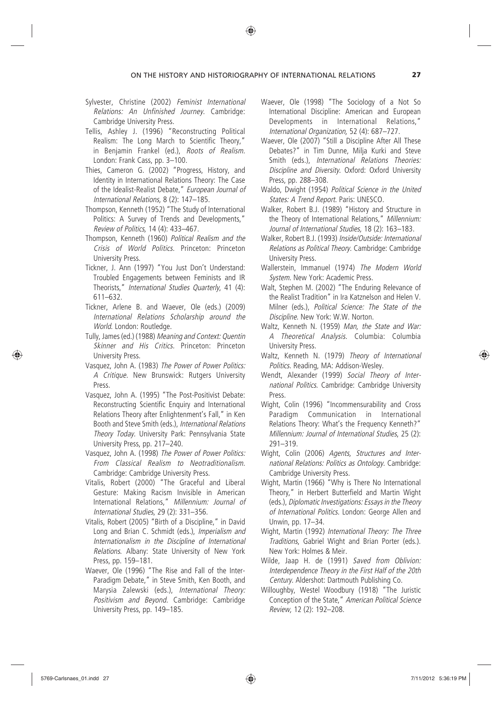#### ON THE HISTORY AND HISTORIOGRAPHY OF INTERNATIONAL RELATIONS **27**

◈

- Sylvester, Christine (2002) *Feminist International Relations: An Unfinished Journey*. Cambridge: Cambridge University Press.
- Tellis, Ashley J. (1996) "Reconstructing Political Realism: The Long March to Scientific Theory," in Benjamin Frankel (ed.), *Roots of Realism.* London: Frank Cass, pp. 3–100.
- Thies, Cameron G. (2002) "Progress, History, and Identity in International Relations Theory: The Case of the Idealist-Realist Debate," *European Journal of International Relations,* 8 (2): 147–185.
- Thompson, Kenneth (1952) "The Study of International Politics: A Survey of Trends and Developments," *Review of Politics,* 14 (4): 433–467.
- Thompson, Kenneth (1960) *Political Realism and the Crisis of World Politics.* Princeton: Princeton University Press.
- Tickner, J. Ann (1997) "You Just Don't Understand: Troubled Engagements between Feminists and IR Theorists," *International Studies Quarterly*, 41 (4): 611–632.
- Tickner, Arlene B. and Waever, Ole (eds.) (2009) *International Relations Scholarship around the World*. London: Routledge.
- Tully, James (ed.) (1988) *Meaning and Context: Quentin Skinner and His Critics.* Princeton: Princeton University Press.
- Vasquez, John A. (1983) *The Power of Power Politics: A Critique.* New Brunswick: Rutgers University Press.
- Vasquez, John A. (1995) "The Post-Positivist Debate: Reconstructing Scientific Enquiry and International Relations Theory after Enlightenment's Fall," in Ken Booth and Steve Smith (eds.), *International Relations Theory Today.* University Park: Pennsylvania State University Press, pp. 217–240.
- Vasquez, John A. (1998) *The Power of Power Politics: From Classical Realism to Neotraditionalism.* Cambridge: Cambridge University Press.
- Vitalis, Robert (2000) "The Graceful and Liberal Gesture: Making Racism Invisible in American International Relations," *Millennium: Journal of International Studies*, 29 (2): 331–356.
- Vitalis, Robert (2005) "Birth of a Discipline," in David Long and Brian C. Schmidt (eds.), *Imperialism and Internationalism in the Discipline of International Relations*. Albany: State University of New York Press, pp. 159–181.
- Waever, Ole (1996) "The Rise and Fall of the Inter-Paradigm Debate," in Steve Smith, Ken Booth, and Marysia Zalewski (eds.), *International Theory: Positivism and Beyond.* Cambridge: Cambridge University Press, pp. 149–185.
- Waever, Ole (1998) "The Sociology of a Not So International Discipline: American and European Developments in International Relations,' *International Organization,* 52 (4): 687–727.
- Waever, Ole (2007) "Still a Discipline After All These Debates?" in Tim Dunne, Milja Kurki and Steve Smith (eds.), *International Relations Theories: Discipline and Diversity*. Oxford: Oxford University Press, pp. 288–308.
- Waldo, Dwight (1954) *Political Science in the United States: A Trend Report*. Paris: UNESCO.
- Walker, Robert B.J. (1989) "History and Structure in the Theory of International Relations," *Millennium: Journal of International Studies,* 18 (2): 163–183.
- Walker, Robert B.J. (1993) *Inside/Outside: International Relations as Political Theory.* Cambridge: Cambridge University Press.
- Wallerstein, Immanuel (1974) *The Modern World System.* New York: Academic Press.
- Walt, Stephen M. (2002) "The Enduring Relevance of the Realist Tradition" in Ira Katznelson and Helen V. Milner (eds.), *Political Science: The State of the Discipline*. New York: W.W. Norton.
- Waltz, Kenneth N. (1959) *Man, the State and War: A Theoretical Analysis.* Columbia: Columbia University Press.
- Waltz, Kenneth N. (1979) *Theory of International Politics.* Reading, MA: Addison-Wesley.
- Wendt, Alexander (1999) *Social Theory of Inter national Politics.* Cambridge: Cambridge University Press.
- Wight, Colin (1996) "Incommensurability and Cross Paradigm Communication in International Relations Theory: What's the Frequency Kenneth?" *Millennium: Journal of International Studies*, 25 (2): 291–319.
- Wight, Colin (2006) *Agents, Structures and International Relations: Politics as Ontology*. Cambridge: Cambridge University Press.
- Wight, Martin (1966) "Why is There No International Theory," in Herbert Butterfield and Martin Wight (eds.), *Diplomatic Investigations: Essays in the Theory of International Politics.* London: George Allen and Unwin, pp. 17–34.
- Wight, Martin (1992) *International Theory: The Three Traditions*, Gabriel Wight and Brian Porter (eds.). New York: Holmes & Meir.
- Wilde, Jaap H. de (1991) *Saved from Oblivion: Interdependence Theory in the First Half of the 20th Century.* Aldershot: Dartmouth Publishing Co.
- Willoughby, Westel Woodbury (1918) "The Juristic Conception of the State," *American Political Science Review,* 12 (2): 192–208.

⊕